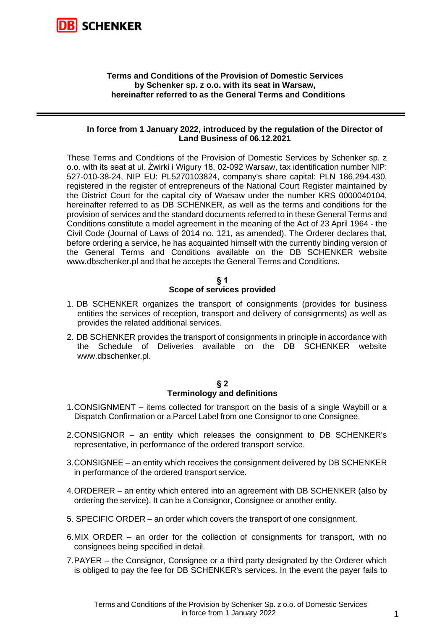

## **Terms and Conditions of the Provision of Domestic Services by Schenker sp. z o.o. with its seat in Warsaw, hereinafter referred to as the General Terms and Conditions**

#### **In force from 1 January 2022, introduced by the regulation of the Director of Land Business of 06.12.2021**

These Terms and Conditions of the Provision of Domestic Services by Schenker sp. z o.o. with its seat at ul. Żwirki i Wigury 18, 02-092 Warsaw, tax identification number NIP: 527-010-38-24, NIP EU: PL5270103824, company's share capital: PLN 186,294,430, registered in the register of entrepreneurs of the National Court Register maintained by the District Court for the capital city of Warsaw under the number KRS 0000040104, hereinafter referred to as DB SCHENKER, as well as the terms and conditions for the provision of services and the standard documents referred to in these General Terms and Conditions constitute a model agreement in the meaning of the Act of 23 April 1964 - the Civil Code (Journal of Laws of 2014 no. 121, as amended). The Orderer declares that, before ordering a service, he has acquainted himself with the currently binding version of the General Terms and Conditions available on the DB SCHENKER website [www.dbschenker.pl](http://www.dbschenker.pl/) [and](http://www.logistics.dbschenker.pland/) that he accepts the General Terms and Conditions.

#### **§ 1**

## **Scope of services provided**

- 1. DB SCHENKER organizes the transport of consignments (provides for business entities the services of reception, transport and delivery of consignments) as well as provides the related additional services.
- 2. DB SCHENKER provides the transport of consignments in principle in accordance with the Schedule of Deliveries available on the DB SCHENKER website [www.dbschenker.pl.](http://www.dbschenker.pl./)

#### **§ 2 Terminology and definitions**

- 1.CONSIGNMENT items collected for transport on the basis of a single Waybill or a Dispatch Confirmation or a Parcel Label from one Consignor to one Consignee.
- 2.CONSIGNOR an entity which releases the consignment to DB SCHENKER's representative, in performance of the ordered transport service.
- 3.CONSIGNEE an entity which receives the consignment delivered by DB SCHENKER in performance of the ordered transport service.
- 4.ORDERER an entity which entered into an agreement with DB SCHENKER (also by ordering the service). It can be a Consignor, Consignee or another entity.
- 5. SPECIFIC ORDER an order which covers the transport of one consignment.
- 6.MIX ORDER an order for the collection of consignments for transport, with no consignees being specified in detail.
- 7.PAYER the Consignor, Consignee or a third party designated by the Orderer which is obliged to pay the fee for DB SCHENKER's services. In the event the payer fails to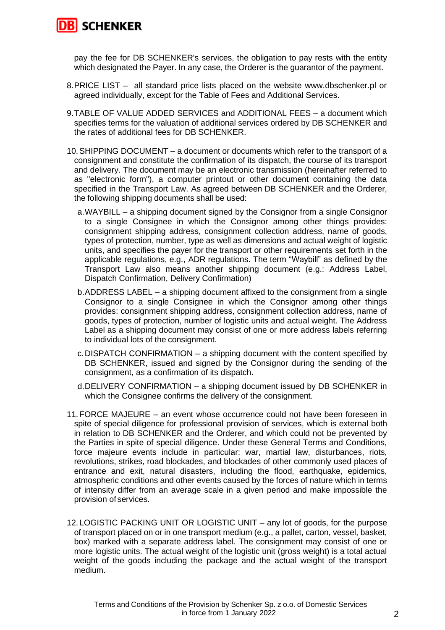

pay the fee for DB SCHENKER's services, the obligation to pay rests with the entity which designated the Payer. In any case, the Orderer is the guarantor of the payment.

- 8.PRICE LIST all standard price lists placed on the website www.dbschenker.pl or agreed individually, except for the Table of Fees and Additional Services.
- 9.TABLE OF VALUE ADDED SERVICES and ADDITIONAL FEES a document which specifies terms for the valuation of additional services ordered by DB SCHENKER and the rates of additional fees for DB SCHENKER.
- 10.SHIPPING DOCUMENT a document or documents which refer to the transport of a consignment and constitute the confirmation of its dispatch, the course of its transport and delivery. The document may be an electronic transmission (hereinafter referred to as "electronic form"), a computer printout or other document containing the data specified in the Transport Law. As agreed between DB SCHENKER and the Orderer, the following shipping documents shall be used:
	- a.WAYBILL a shipping document signed by the Consignor from a single Consignor to a single Consignee in which the Consignor among other things provides: consignment shipping address, consignment collection address, name of goods, types of protection, number, type as well as dimensions and actual weight of logistic units, and specifies the payer for the transport or other requirements set forth in the applicable regulations, e.g., ADR regulations. The term "Waybill" as defined by the Transport Law also means another shipping document (e.g.: Address Label, Dispatch Confirmation, Delivery Confirmation)
	- b.ADDRESS LABEL a shipping document affixed to the consignment from a single Consignor to a single Consignee in which the Consignor among other things provides: consignment shipping address, consignment collection address, name of goods, types of protection, number of logistic units and actual weight. The Address Label as a shipping document may consist of one or more address labels referring to individual lots of the consignment.
	- c.DISPATCH CONFIRMATION a shipping document with the content specified by DB SCHENKER, issued and signed by the Consignor during the sending of the consignment, as a confirmation of its dispatch.
	- d.DELIVERY CONFIRMATION a shipping document issued by DB SCHENKER in which the Consignee confirms the delivery of the consignment.
- 11.FORCE MAJEURE an event whose occurrence could not have been foreseen in spite of special diligence for professional provision of services, which is external both in relation to DB SCHENKER and the Orderer, and which could not be prevented by the Parties in spite of special diligence. Under these General Terms and Conditions, force majeure events include in particular: war, martial law, disturbances, riots, revolutions, strikes, road blockades, and blockades of other commonly used places of entrance and exit, natural disasters, including the flood, earthquake, epidemics, atmospheric conditions and other events caused by the forces of nature which in terms of intensity differ from an average scale in a given period and make impossible the provision of services.
- 12. LOGISTIC PACKING UNIT OR LOGISTIC UNIT any lot of goods, for the purpose of transport placed on or in one transport medium (e.g., a pallet, carton, vessel, basket, box) marked with a separate address label. The consignment may consist of one or more logistic units. The actual weight of the logistic unit (gross weight) is a total actual weight of the goods including the package and the actual weight of the transport medium.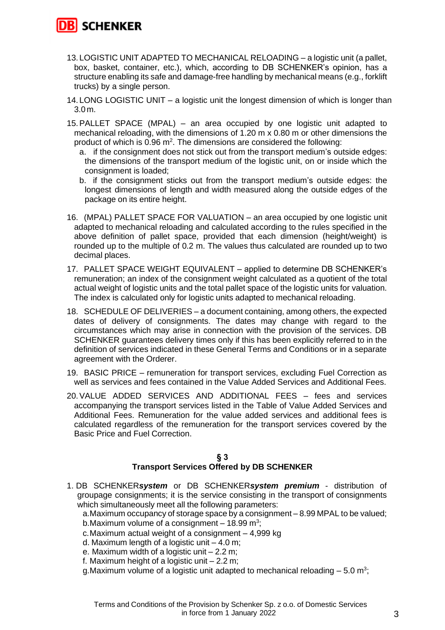**SCHENKER** 

- 13. LOGISTIC UNIT ADAPTED TO MECHANICAL RELOADING a logistic unit (a pallet, box, basket, container, etc.), which, according to DB SCHENKER's opinion, has a structure enabling its safe and damage-free handling by mechanical means (e.g., forklift trucks) by a single person.
- 14. LONG LOGISTIC UNIT a logistic unit the longest dimension of which is longer than 3.0 m.
- 15.PALLET SPACE (MPAL) an area occupied by one logistic unit adapted to mechanical reloading, with the dimensions of 1.20 m x 0.80 m or other dimensions the product of which is 0.96 m<sup>2</sup>. The dimensions are considered the following:
	- a. if the consignment does not stick out from the transport medium's outside edges: the dimensions of the transport medium of the logistic unit, on or inside which the consignment is loaded;
	- b. if the consignment sticks out from the transport medium's outside edges: the longest dimensions of length and width measured along the outside edges of the package on its entire height.
- 16. (MPAL) PALLET SPACE FOR VALUATION an area occupied by one logistic unit adapted to mechanical reloading and calculated according to the rules specified in the above definition of pallet space, provided that each dimension (height/weight) is rounded up to the multiple of 0.2 m. The values thus calculated are rounded up to two decimal places.
- 17. PALLET SPACE WEIGHT EQUIVALENT applied to determine DB SCHENKER's remuneration; an index of the consignment weight calculated as a quotient of the total actual weight of logistic units and the total pallet space of the logistic units for valuation. The index is calculated only for logistic units adapted to mechanical reloading.
- 18. SCHEDULE OF DELIVERIES a document containing, among others, the expected dates of delivery of consignments. The dates may change with regard to the circumstances which may arise in connection with the provision of the services. DB SCHENKER guarantees delivery times only if this has been explicitly referred to in the definition of services indicated in these General Terms and Conditions or in a separate agreement with the Orderer.
- 19. BASIC PRICE remuneration for transport services, excluding Fuel Correction as well as services and fees contained in the Value Added Services and Additional Fees.
- 20.VALUE ADDED SERVICES AND ADDITIONAL FEES fees and services accompanying the transport services listed in the Table of Value Added Services and Additional Fees. Remuneration for the value added services and additional fees is calculated regardless of the remuneration for the transport services covered by the Basic Price and Fuel Correction.

# **§ 3**

# **Transport Services Offered by DB SCHENKER**

1. DB SCHENKER*system* or DB SCHENKER*system premium* - distribution of groupage consignments; it is the service consisting in the transport of consignments which simultaneously meet all the following parameters:

a.Maximum occupancy of storage space by a consignment – 8.99 MPAL to be valued; b.Maximum volume of a consignment  $-$  18.99 m<sup>3</sup>;

- c.Maximum actual weight of a consignment 4,999 kg
- d. Maximum length of a logistic unit  $-4.0$  m;
- e. Maximum width of a logistic unit 2.2 m;
- f. Maximum height of a logistic unit  $-2.2$  m;
- g.Maximum volume of a logistic unit adapted to mechanical reloading  $-5.0$  m<sup>3</sup>;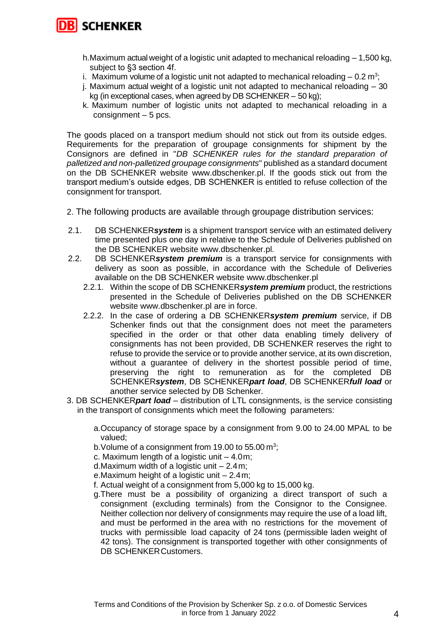

- h.Maximum actual weight of a logistic unit adapted to mechanical reloading 1,500 kg, subject to §3 section 4f.
- i. Maximum volume of a logistic unit not adapted to mechanical reloading  $-$  0.2 m<sup>3</sup>;
- j. Maximum actual weight of a logistic unit not adapted to mechanical reloading 30 kg (in exceptional cases, when agreed by DB SCHENKER – 50 kg);
- k. Maximum number of logistic units not adapted to mechanical reloading in a consignment – 5 pcs.

The goods placed on a transport medium should not stick out from its outside edges. Requirements for the preparation of groupage consignments for shipment by the Consignors are defined in "*DB SCHENKER rules for the standard preparation of palletized and non-palletized groupage consignments*" published as a standard document on the DB SCHENKER website [www.dbschenker.pl.](http://www.dbschenker.pl/) If the goods stick out from the transport medium's outside edges, DB SCHENKER is entitled to refuse collection of the consignment for transport.

- 2. The following products are available through groupage distribution services:
- 2.1. DB SCHENKER*system* is a shipment transport service with an estimated delivery time presented plus one day in relative to the Schedule of Deliveries published on the DB SCHENKER website www.dbschenker.pl.
- 2.2. DB SCHENKER*system premium* is a transport service for consignments with delivery as soon as possible, in accordance with the Schedule of Deliveries available on the DB SCHENKER website www.dbschenker.pl
	- 2.2.1. Within the scope of DB SCHENKER*system premium* product, the restrictions presented in the Schedule of Deliveries published on the DB SCHENKER website www.dbschenker.pl are in force.
	- 2.2.2. In the case of ordering a DB SCHENKER*system premium* service, if DB Schenker finds out that the consignment does not meet the parameters specified in the order or that other data enabling timely delivery of consignments has not been provided, DB SCHENKER reserves the right to refuse to provide the service or to provide another service, at its own discretion, without a guarantee of delivery in the shortest possible period of time, preserving the right to remuneration as for the completed DB SCHENKER*system*, DB SCHENKER*part load*, DB SCHENKER*full load* or another service selected by DB Schenker.
- 3. DB SCHENKER*part load* distribution of LTL consignments, is the service consisting in the transport of consignments which meet the following parameters:
	- a.Occupancy of storage space by a consignment from 9.00 to 24.00 MPAL to be valued;
	- b. Volume of a consignment from 19.00 to 55.00  $\text{m}^3$ ;
	- c. Maximum length of a logistic unit  $-4.0$ m;
	- d. Maximum width of a logistic unit  $-2.4$  m;
	- e.Maximum height of a logistic unit 2.4m;
	- f. Actual weight of a consignment from 5,000 kg to 15,000 kg.
	- g.There must be a possibility of organizing a direct transport of such a consignment (excluding terminals) from the Consignor to the Consignee. Neither collection nor delivery of consignments may require the use of a load lift, and must be performed in the area with no restrictions for the movement of trucks with permissible load capacity of 24 tons (permissible laden weight of 42 tons). The consignment is transported together with other consignments of DB SCHENKER Customers.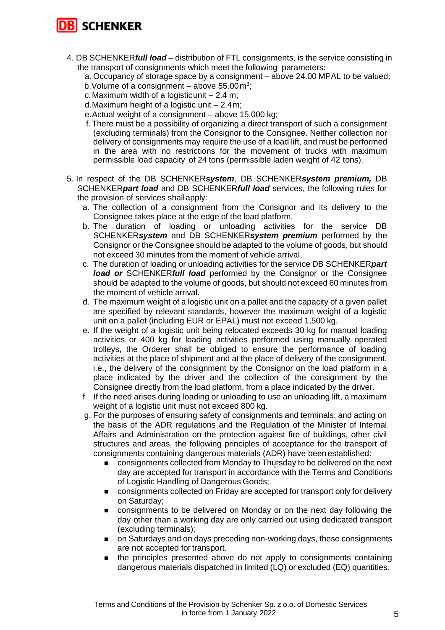

- 4. DB SCHENKER*full load* distribution of FTL consignments, is the service consisting in the transport of consignments which meet the following parameters:
	- a. Occupancy of storage space by a consignment above 24.00 MPAL to be valued;
	- b. Volume of a consignment  $-$  above 55.00 $m^3$ ;
	- c. Maximum width of a logisticunit  $-2.4$  m;
	- d.Maximum height of a logistic unit 2.4m;
	- e.Actual weight of a consignment above 15,000 kg;
	- f. There must be a possibility of organizing a direct transport of such a consignment (excluding terminals) from the Consignor to the Consignee. Neither collection nor delivery of consignments may require the use of a load lift, and must be performed in the area with no restrictions for the movement of trucks with maximum permissible load capacity of 24 tons (permissible laden weight of 42 tons).
- 5. In respect of the DB SCHENKER*system*, DB SCHENKER*system premium,* DB SCHENKER*part load* and DB SCHENKER*full load* services, the following rules for the provision of services shallapply:
	- a. The collection of a consignment from the Consignor and its delivery to the Consignee takes place at the edge of the load platform.
	- b. The duration of loading or unloading activities for the service DB SCHENKER*system* and DB SCHENKER*system premium* performed by the Consignor or the Consignee should be adapted to the volume of goods, but should not exceed 30 minutes from the moment of vehicle arrival.
	- c. The duration of loading or unloading activities for the service DB SCHENKER*part load or* SCHENKER*full load* performed by the Consignor or the Consignee should be adapted to the volume of goods, but should not exceed 60 minutes from the moment of vehicle arrival.
	- d. The maximum weight of a logistic unit on a pallet and the capacity of a given pallet are specified by relevant standards, however the maximum weight of a logistic unit on a pallet (including EUR or EPAL) must not exceed 1,500 kg.
	- e. If the weight of a logistic unit being relocated exceeds 30 kg for manual loading activities or 400 kg for loading activities performed using manually operated trolleys, the Orderer shall be obliged to ensure the performance of loading activities at the place of shipment and at the place of delivery of the consignment, i.e., the delivery of the consignment by the Consignor on the load platform in a place indicated by the driver and the collection of the consignment by the Consignee directly from the load platform, from a place indicated by the driver.
	- f. If the need arises during loading or unloading to use an unloading lift, a maximum weight of a logistic unit must not exceed 800 kg.
	- g. For the purposes of ensuring safety of consignments and terminals, and acting on the basis of the ADR regulations and the Regulation of the Minister of Internal Affairs and Administration on the protection against fire of buildings, other civil structures and areas, the following principles of acceptance for the transport of consignments containing dangerous materials (ADR) have been established:
		- consignments collected from Monday to Thursday to be delivered on the next day are accepted for transport in accordance with the Terms and Conditions of Logistic Handling of Dangerous Goods;
		- consignments collected on Friday are accepted for transport only for delivery on Saturday;
		- consignments to be delivered on Monday or on the next day following the day other than a working day are only carried out using dedicated transport (excluding terminals);
		- on Saturdays and on days preceding non-working days, these consignments are not accepted for transport.
		- the principles presented above do not apply to consignments containing dangerous materials dispatched in limited (LQ) or excluded (EQ) quantities.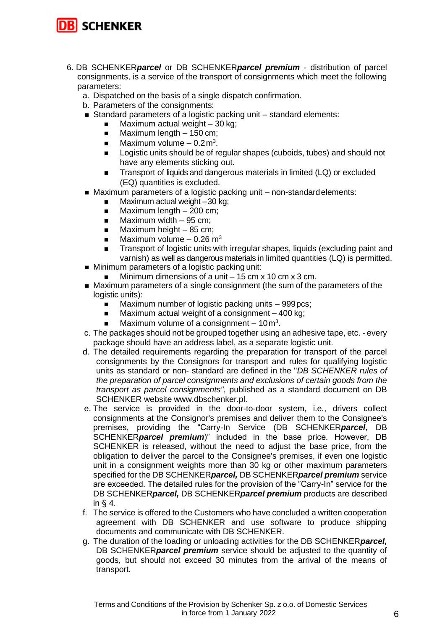

- 6. DB SCHENKER*parcel* or DB SCHENKER*parcel premium* distribution of parcel consignments, is a service of the transport of consignments which meet the following parameters:
	- a. Dispatched on the basis of a single dispatch confirmation.
	- b. Parameters of the consignments:
	- Standard parameters of a logistic packing unit standard elements:
		- Maximum actual weight  $-30$  kg;
		- $\blacksquare$  Maximum length  $-150$  cm;
		- $\blacksquare$  Maximum volume 0.2 m<sup>3</sup>.
		- Logistic units should be of regular shapes (cuboids, tubes) and should not have any elements sticking out.
		- Transport of liquids and dangerous materials in limited (LQ) or excluded (EQ) quantities is excluded.
	- Maximum parameters of a logistic packing unit non-standard elements:
		- $\blacksquare$  Maximum actual weight  $-30$  kg;
		- $\blacksquare$  Maximum length 200 cm;
		- $\blacksquare$  Maximum width 95 cm;
		- $\blacksquare$  Maximum height 85 cm;
		- $\blacksquare$  Maximum volume 0.26 m<sup>3</sup>
		- Transport of logistic units with irregular shapes, liquids (excluding paint and varnish) as well as dangerous materials in limited quantities (LQ) is permitted.
	- Minimum parameters of a logistic packing unit:
		- Minimum dimensions of a unit  $-15$  cm  $\times$  10 cm  $\times$  3 cm.
	- Maximum parameters of a single consignment (the sum of the parameters of the logistic units):
		- Maximum number of logistic packing units 999 pcs;
		- Maximum actual weight of a consignment  $-400$  kg;
		- $\blacksquare$  Maximum volume of a consignment 10 $\mathsf{m}^3$ .
	- c. The packages should not be grouped together using an adhesive tape, etc. every package should have an address label, as a separate logistic unit.
	- d. The detailed requirements regarding the preparation for transport of the parcel consignments by the Consignors for transport and rules for qualifying logistic units as standard or non- standard are defined in the "*DB SCHENKER rules of the preparation of parcel consignments and exclusions of certain goods from the transport as parcel consignments"*, published as a standard document on DB SCHENKER website [www.dbschenker.pl.](http://www.dbschenker.pl/)
	- e. The service is provided in the door-to-door system, i.e., drivers collect consignments at the Consignor's premises and deliver them to the Consignee's premises, providing the "Carry-In Service (DB SCHENKER*parcel*, DB SCHENKER*parcel premium*)" included in the base price. However, DB SCHENKER is released, without the need to adjust the base price, from the obligation to deliver the parcel to the Consignee's premises, if even one logistic unit in a consignment weights more than 30 kg or other maximum parameters specified for the DB SCHENKER*parcel,* DB SCHENKER*parcel premium* service are exceeded. The detailed rules for the provision of the "Carry-In" service for the DB SCHENKER*parcel,* DB SCHENKER*parcel premium* products are described in § 4.
	- f. The service is offered to the Customers who have concluded a written cooperation agreement with DB SCHENKER and use software to produce shipping documents and communicate with DB SCHENKER.
	- g. The duration of the loading or unloading activities for the DB SCHENKER*parcel,*  DB SCHENKER*parcel premium* service should be adjusted to the quantity of goods, but should not exceed 30 minutes from the arrival of the means of transport.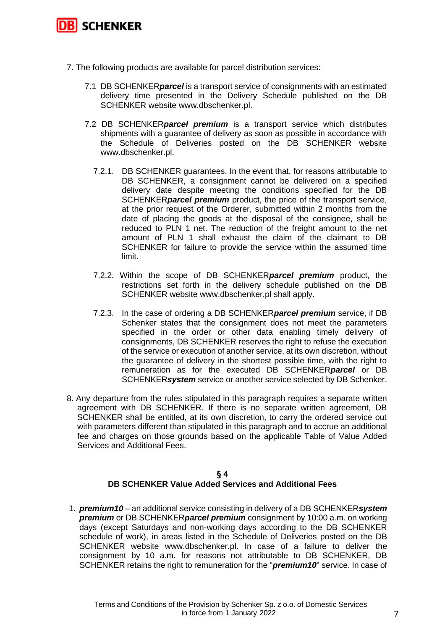

- 7. The following products are available for parcel distribution services:
	- 7.1 DB SCHENKER*parcel* is a transport service of consignments with an estimated delivery time presented in the Delivery Schedule published on the DB SCHENKER website www.dbschenker.pl.
	- 7.2 DB SCHENKER*parcel premium* is a transport service which distributes shipments with a guarantee of delivery as soon as possible in accordance with the Schedule of Deliveries posted on the DB SCHENKER website www.dbschenker.pl.
		- 7.2.1. DB SCHENKER guarantees. In the event that, for reasons attributable to DB SCHENKER, a consignment cannot be delivered on a specified delivery date despite meeting the conditions specified for the DB SCHENKER*parcel premium* product, the price of the transport service, at the prior request of the Orderer, submitted within 2 months from the date of placing the goods at the disposal of the consignee, shall be reduced to PLN 1 net. The reduction of the freight amount to the net amount of PLN 1 shall exhaust the claim of the claimant to DB SCHENKER for failure to provide the service within the assumed time limit.
		- 7.2.2. Within the scope of DB SCHENKER*parcel premium* product, the restrictions set forth in the delivery schedule published on the DB SCHENKER website www.dbschenker.pl shall apply.
		- 7.2.3. In the case of ordering a DB SCHENKER*parcel premium* service, if DB Schenker states that the consignment does not meet the parameters specified in the order or other data enabling timely delivery of consignments, DB SCHENKER reserves the right to refuse the execution of the service or execution of another service, at its own discretion, without the guarantee of delivery in the shortest possible time, with the right to remuneration as for the executed DB SCHENKER*parcel* or DB SCHENKER*system* service or another service selected by DB Schenker.
- 8. Any departure from the rules stipulated in this paragraph requires a separate written agreement with DB SCHENKER. If there is no separate written agreement, DB SCHENKER shall be entitled, at its own discretion, to carry the ordered service out with parameters different than stipulated in this paragraph and to accrue an additional fee and charges on those grounds based on the applicable Table of Value Added Services and Additional Fees.

#### **§ 4 DB SCHENKER Value Added Services and Additional Fees**

1. *premium10* – an additional service consisting in delivery of a DB SCHENKER*system premium* or DB SCHENKER*parcel premium* consignment by 10:00 a.m. on working days (except Saturdays and non-working days according to the DB SCHENKER schedule of work), in areas listed in the Schedule of Deliveries posted on the DB SCHENKER website [www.dbschenker.pl.](http://www.dbschenker.pl/) In case of a failure to deliver the consignment by 10 a.m. for reasons not attributable to DB SCHENKER, DB SCHENKER retains the right to remuneration for the "*premium10*" service. In case of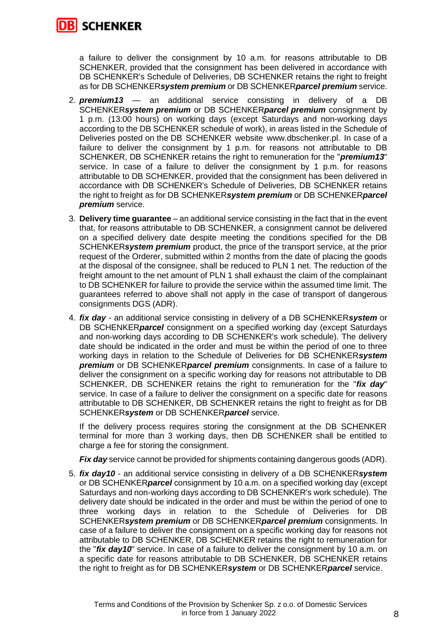

a failure to deliver the consignment by 10 a.m. for reasons attributable to DB SCHENKER, provided that the consignment has been delivered in accordance with DB SCHENKER's Schedule of Deliveries, DB SCHENKER retains the right to freight as for DB SCHENKER*system premium* or DB SCHENKER*parcel premium* service.

- 2. *premium13* an additional service consisting in delivery of a DB SCHENKER*system premium* or DB SCHENKER*parcel premium* consignment by 1 p.m. (13:00 hours) on working days (except Saturdays and non-working days according to the DB SCHENKER schedule of work), in areas listed in the Schedule of Deliveries posted on the DB SCHENKER website [www.dbschenker.pl.](http://www.dbschenker.pl/) In case of a failure to deliver the consignment by 1 p.m. for reasons not attributable to DB SCHENKER, DB SCHENKER retains the right to remuneration for the "*premium13*" service. In case of a failure to deliver the consignment by 1 p.m. for reasons attributable to DB SCHENKER, provided that the consignment has been delivered in accordance with DB SCHENKER's Schedule of Deliveries, DB SCHENKER retains the right to freight as for DB SCHENKER*system premium* or DB SCHENKER*parcel premium* service.
- 3. **Delivery time guarantee** an additional service consisting in the fact that in the event that, for reasons attributable to DB SCHENKER, a consignment cannot be delivered on a specified delivery date despite meeting the conditions specified for the DB SCHENKER*system premium* product, the price of the transport service, at the prior request of the Orderer, submitted within 2 months from the date of placing the goods at the disposal of the consignee, shall be reduced to PLN 1 net. The reduction of the freight amount to the net amount of PLN 1 shall exhaust the claim of the complainant to DB SCHENKER for failure to provide the service within the assumed time limit. The guarantees referred to above shall not apply in the case of transport of dangerous consignments DGS (ADR).
- 4. *fix day* an additional service consisting in delivery of a DB SCHENKER*system* or DB SCHENKER*parcel* consignment on a specified working day (except Saturdays and non-working days according to DB SCHENKER's work schedule). The delivery date should be indicated in the order and must be within the period of one to three working days in relation to the Schedule of Deliveries for DB SCHENKER*system premium* or DB SCHENKER*parcel premium* consignments. In case of a failure to deliver the consignment on a specific working day for reasons not attributable to DB SCHENKER, DB SCHENKER retains the right to remuneration for the "*fix day*" service. In case of a failure to deliver the consignment on a specific date for reasons attributable to DB SCHENKER, DB SCHENKER retains the right to freight as for DB SCHENKER*system* or DB SCHENKER*parcel* service.

If the delivery process requires storing the consignment at the DB SCHENKER terminal for more than 3 working days, then DB SCHENKER shall be entitled to charge a fee for storing the consignment.

*Fix day* service cannot be provided for shipments containing dangerous goods (ADR).

5. *fix day10* - an additional service consisting in delivery of a DB SCHENKER*system* or DB SCHENKER*parcel* consignment by 10 a.m. on a specified working day (except Saturdays and non-working days according to DB SCHENKER's work schedule). The delivery date should be indicated in the order and must be within the period of one to three working days in relation to the Schedule of Deliveries for DB SCHENKER*system premium* or DB SCHENKER*parcel premium* consignments. In case of a failure to deliver the consignment on a specific working day for reasons not attributable to DB SCHENKER, DB SCHENKER retains the right to remuneration for the "*fix day10*" service. In case of a failure to deliver the consignment by 10 a.m. on a specific date for reasons attributable to DB SCHENKER, DB SCHENKER retains the right to freight as for DB SCHENKER*system* or DB SCHENKER*parcel* service.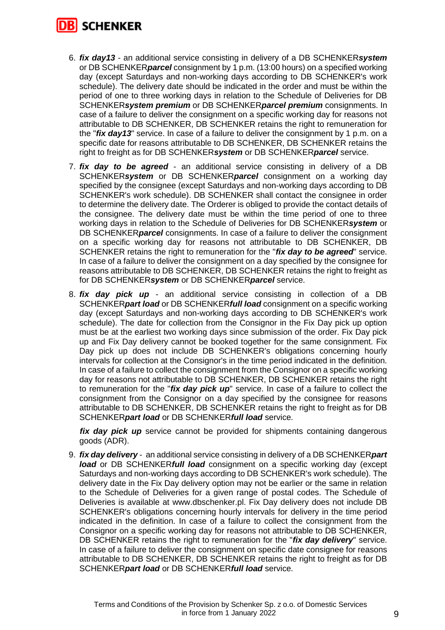

- 6. *fix day13* an additional service consisting in delivery of a DB SCHENKER*system* or DB SCHENKER*parcel* consignment by 1 p.m. (13:00 hours) on a specified working day (except Saturdays and non-working days according to DB SCHENKER's work schedule). The delivery date should be indicated in the order and must be within the period of one to three working days in relation to the Schedule of Deliveries for DB SCHENKER*system premium* or DB SCHENKER*parcel premium* consignments. In case of a failure to deliver the consignment on a specific working day for reasons not attributable to DB SCHENKER, DB SCHENKER retains the right to remuneration for the "*fix day13*" service. In case of a failure to deliver the consignment by 1 p.m. on a specific date for reasons attributable to DB SCHENKER, DB SCHENKER retains the right to freight as for DB SCHENKER*system* or DB SCHENKER*parcel* service.
- 7. *fix day to be agreed*  an additional service consisting in delivery of a DB SCHENKER*system* or DB SCHENKER*parcel* consignment on a working day specified by the consignee (except Saturdays and non-working days according to DB SCHENKER's work schedule). DB SCHENKER shall contact the consignee in order to determine the delivery date. The Orderer is obliged to provide the contact details of the consignee. The delivery date must be within the time period of one to three working days in relation to the Schedule of Deliveries for DB SCHENKER*system* or DB SCHENKER*parcel* consignments. In case of a failure to deliver the consignment on a specific working day for reasons not attributable to DB SCHENKER, DB SCHENKER retains the right to remuneration for the "*fix day to be agreed*" service. In case of a failure to deliver the consignment on a day specified by the consignee for reasons attributable to DB SCHENKER, DB SCHENKER retains the right to freight as for DB SCHENKER*system* or DB SCHENKER*parcel* service.
- 8. *fix day pick up* an additional service consisting in collection of a DB SCHENKER*part load* or DB SCHENKER*full load* consignment on a specific working day (except Saturdays and non-working days according to DB SCHENKER's work schedule). The date for collection from the Consignor in the Fix Day pick up option must be at the earliest two working days since submission of the order. Fix Day pick up and Fix Day delivery cannot be booked together for the same consignment. Fix Day pick up does not include DB SCHENKER's obligations concerning hourly intervals for collection at the Consignor's in the time period indicated in the definition. In case of a failure to collect the consignment from the Consignor on a specific working day for reasons not attributable to DB SCHENKER, DB SCHENKER retains the right to remuneration for the "*fix day pick up*" service. In case of a failure to collect the consignment from the Consignor on a day specified by the consignee for reasons attributable to DB SCHENKER, DB SCHENKER retains the right to freight as for DB SCHENKER*part load* or DB SCHENKER*full load* service.

fix day pick up service cannot be provided for shipments containing dangerous goods (ADR).

9. *fix day delivery* - an additional service consisting in delivery of a DB SCHENKER*part load* or DB SCHENKER*full load* consignment on a specific working day (except Saturdays and non-working days according to DB SCHENKER's work schedule). The delivery date in the Fix Day delivery option may not be earlier or the same in relation to the Schedule of Deliveries for a given range of postal codes. The Schedule of Deliveries is available at www.dbschenker.pl. Fix Day delivery does not include DB SCHENKER's obligations concerning hourly intervals for delivery in the time period indicated in the definition. In case of a failure to collect the consignment from the Consignor on a specific working day for reasons not attributable to DB SCHENKER, DB SCHENKER retains the right to remuneration for the "*fix day delivery*" service. In case of a failure to deliver the consignment on specific date consignee for reasons attributable to DB SCHENKER, DB SCHENKER retains the right to freight as for DB SCHENKER*part load* or DB SCHENKER*full load* service.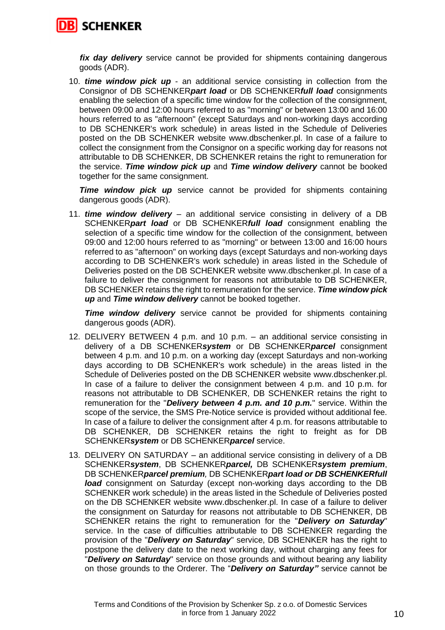

*fix day delivery* service cannot be provided for shipments containing dangerous goods (ADR).

10. *time window pick up* - an additional service consisting in collection from the Consignor of DB SCHENKER*part load* or DB SCHENKER*full load* consignments enabling the selection of a specific time window for the collection of the consignment, between 09:00 and 12:00 hours referred to as "morning" or between 13:00 and 16:00 hours referred to as "afternoon" (except Saturdays and non-working days according to DB SCHENKER's work schedule) in areas listed in the Schedule of Deliveries posted on the DB SCHENKER website www.dbschenker.pl. In case of a failure to collect the consignment from the Consignor on a specific working day for reasons not attributable to DB SCHENKER, DB SCHENKER retains the right to remuneration for the service. *Time window pick up* and *Time window delivery* cannot be booked together for the same consignment.

*Time window pick up* service cannot be provided for shipments containing dangerous goods (ADR).

11. *time window delivery* – an additional service consisting in delivery of a DB SCHENKER*part load* or DB SCHENKER*full load* consignment enabling the selection of a specific time window for the collection of the consignment, between 09:00 and 12:00 hours referred to as "morning" or between 13:00 and 16:00 hours referred to as "afternoon" on working days (except Saturdays and non-working days according to DB SCHENKER's work schedule) in areas listed in the Schedule of Deliveries posted on the DB SCHENKER website www.dbschenker.pl. In case of a failure to deliver the consignment for reasons not attributable to DB SCHENKER, DB SCHENKER retains the right to remuneration for the service. *Time window pick up* and *Time window delivery* cannot be booked together.

**Time window delivery** service cannot be provided for shipments containing dangerous goods (ADR).

- 12. DELIVERY BETWEEN 4 p.m. and 10 p.m. an additional service consisting in delivery of a DB SCHENKER*system* or DB SCHENKER*parcel* consignment between 4 p.m. and 10 p.m. on a working day (except Saturdays and non-working days according to DB SCHENKER's work schedule) in the areas listed in the Schedule of Deliveries posted on the DB SCHENKER website www.dbschenker.pl. In case of a failure to deliver the consignment between 4 p.m. and 10 p.m. for reasons not attributable to DB SCHENKER, DB SCHENKER retains the right to remuneration for the "*Delivery between 4 p.m. and 10 p.m.*" service. Within the scope of the service, the SMS Pre-Notice service is provided without additional fee. In case of a failure to deliver the consignment after 4 p.m. for reasons attributable to DB SCHENKER, DB SCHENKER retains the right to freight as for DB SCHENKER*system* or DB SCHENKER*parcel* service.
- 13. DELIVERY ON SATURDAY an additional service consisting in delivery of a DB SCHENKER*system*, DB SCHENKER*parcel,* DB SCHENKER*system premium*, DB SCHENKER*parcel premium,* DB SCHENKER*part load or DB SCHENKERfull load* consignment on Saturday (except non-working days according to the DB SCHENKER work schedule) in the areas listed in the Schedule of Deliveries posted on the DB SCHENKER website www.dbschenker.pl. In case of a failure to deliver the consignment on Saturday for reasons not attributable to DB SCHENKER, DB SCHENKER retains the right to remuneration for the "*Delivery on Saturday*" service. In the case of difficulties attributable to DB SCHENKER regarding the provision of the "*Delivery on Saturday*" service, DB SCHENKER has the right to postpone the delivery date to the next working day, without charging any fees for "*Delivery on Saturday*" service on those grounds and without bearing any liability on those grounds to the Orderer. The "*Delivery on Saturday"* service cannot be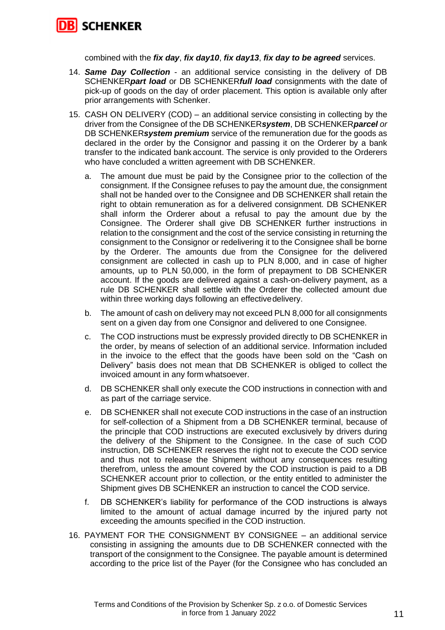

combined with the *fix day*, *fix day10*, *fix day13*, *fix day to be agreed* services.

- 14. *Same Day Collection* an additional service consisting in the delivery of DB SCHENKER*part load* or DB SCHENKER*full load* consignments with the date of pick-up of goods on the day of order placement. This option is available only after prior arrangements with Schenker.
- 15. CASH ON DELIVERY (COD) an additional service consisting in collecting by the driver from the Consignee of the DB SCHENKER*system*, DB SCHENKER*parcel or* DB SCHENKER*system premium* service of the remuneration due for the goods as declared in the order by the Consignor and passing it on the Orderer by a bank transfer to the indicated bank account. The service is only provided to the Orderers who have concluded a written agreement with DB SCHENKER.
	- a. The amount due must be paid by the Consignee prior to the collection of the consignment. If the Consignee refuses to pay the amount due, the consignment shall not be handed over to the Consignee and DB SCHENKER shall retain the right to obtain remuneration as for a delivered consignment. DB SCHENKER shall inform the Orderer about a refusal to pay the amount due by the Consignee. The Orderer shall give DB SCHENKER further instructions in relation to the consignment and the cost of the service consisting in returning the consignment to the Consignor or redelivering it to the Consignee shall be borne by the Orderer. The amounts due from the Consignee for the delivered consignment are collected in cash up to PLN 8,000, and in case of higher amounts, up to PLN 50,000, in the form of prepayment to DB SCHENKER account. If the goods are delivered against a cash-on-delivery payment, as a rule DB SCHENKER shall settle with the Orderer the collected amount due within three working days following an effectivedelivery.
	- b. The amount of cash on delivery may not exceed PLN 8,000 for all consignments sent on a given day from one Consignor and delivered to one Consignee.
	- c. The COD instructions must be expressly provided directly to DB SCHENKER in the order, by means of selection of an additional service. Information included in the invoice to the effect that the goods have been sold on the "Cash on Delivery" basis does not mean that DB SCHENKER is obliged to collect the invoiced amount in any form whatsoever.
	- d. DB SCHENKER shall only execute the COD instructions in connection with and as part of the carriage service.
	- e. DB SCHENKER shall not execute COD instructions in the case of an instruction for self-collection of a Shipment from a DB SCHENKER terminal, because of the principle that COD instructions are executed exclusively by drivers during the delivery of the Shipment to the Consignee. In the case of such COD instruction, DB SCHENKER reserves the right not to execute the COD service and thus not to release the Shipment without any consequences resulting therefrom, unless the amount covered by the COD instruction is paid to a DB SCHENKER account prior to collection, or the entity entitled to administer the Shipment gives DB SCHENKER an instruction to cancel the COD service.
	- f. DB SCHENKER's liability for performance of the COD instructions is always limited to the amount of actual damage incurred by the injured party not exceeding the amounts specified in the COD instruction.
- 16. PAYMENT FOR THE CONSIGNMENT BY CONSIGNEE an additional service consisting in assigning the amounts due to DB SCHENKER connected with the transport of the consignment to the Consignee. The payable amount is determined according to the price list of the Payer (for the Consignee who has concluded an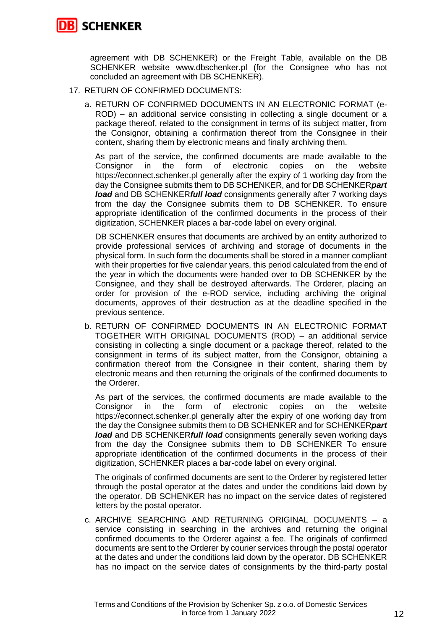

agreement with DB SCHENKER) or the Freight Table, available on the DB SCHENKER website www.dbschenker.pl (for the Consignee who has not concluded an agreement with DB SCHENKER).

- 17. RETURN OF CONFIRMED DOCUMENTS:
	- a. RETURN OF CONFIRMED DOCUMENTS IN AN ELECTRONIC FORMAT (e-ROD) – an additional service consisting in collecting a single document or a package thereof, related to the consignment in terms of its subject matter, from the Consignor, obtaining a confirmation thereof from the Consignee in their content, sharing them by electronic means and finally archiving them.

As part of the service, the confirmed documents are made available to the Consignor in the form of electronic copies on the website https://econnect.schenker.pl generally after the expiry of 1 working day from the day the Consignee submits them to DB SCHENKER, and for DB SCHENKER*part load* and DB SCHENKER*full load* consignments generally after 7 working days from the day the Consignee submits them to DB SCHENKER. To ensure appropriate identification of the confirmed documents in the process of their digitization, SCHENKER places a bar-code label on every original.

DB SCHENKER ensures that documents are archived by an entity authorized to provide professional services of archiving and storage of documents in the physical form. In such form the documents shall be stored in a manner compliant with their properties for five calendar years, this period calculated from the end of the year in which the documents were handed over to DB SCHENKER by the Consignee, and they shall be destroyed afterwards. The Orderer, placing an order for provision of the e-ROD service, including archiving the original documents, approves of their destruction as at the deadline specified in the previous sentence.

b. RETURN OF CONFIRMED DOCUMENTS IN AN ELECTRONIC FORMAT TOGETHER WITH ORIGINAL DOCUMENTS (ROD) – an additional service consisting in collecting a single document or a package thereof, related to the consignment in terms of its subject matter, from the Consignor, obtaining a confirmation thereof from the Consignee in their content, sharing them by electronic means and then returning the originals of the confirmed documents to the Orderer.

As part of the services, the confirmed documents are made available to the Consignor in the form of electronic copies on the website https://econnect.schenker.pl generally after the expiry of one working day from the day the Consignee submits them to DB SCHENKER and for SCHENKER*part load* and DB SCHENKER*full load* consignments generally seven working days from the day the Consignee submits them to DB SCHENKER To ensure appropriate identification of the confirmed documents in the process of their digitization, SCHENKER places a bar-code label on every original.

The originals of confirmed documents are sent to the Orderer by registered letter through the postal operator at the dates and under the conditions laid down by the operator. DB SCHENKER has no impact on the service dates of registered letters by the postal operator.

c. ARCHIVE SEARCHING AND RETURNING ORIGINAL DOCUMENTS – a service consisting in searching in the archives and returning the original confirmed documents to the Orderer against a fee. The originals of confirmed documents are sent to the Orderer by courier services through the postal operator at the dates and under the conditions laid down by the operator. DB SCHENKER has no impact on the service dates of consignments by the third-party postal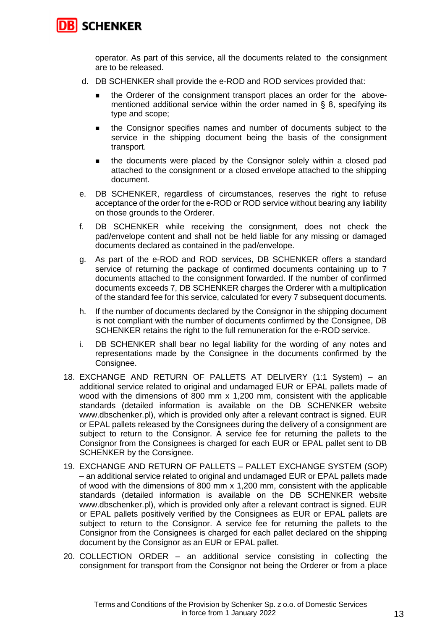

operator. As part of this service, all the documents related to the consignment are to be released.

- d. DB SCHENKER shall provide the e-ROD and ROD services provided that:
	- the Orderer of the consignment transport places an order for the abovementioned additional service within the order named in § 8, specifying its type and scope;
	- the Consignor specifies names and number of documents subject to the service in the shipping document being the basis of the consignment transport.
	- the documents were placed by the Consignor solely within a closed pad attached to the consignment or a closed envelope attached to the shipping document.
- e. DB SCHENKER, regardless of circumstances, reserves the right to refuse acceptance of the order for the e-ROD or ROD service without bearing any liability on those grounds to the Orderer.
- f. DB SCHENKER while receiving the consignment, does not check the pad/envelope content and shall not be held liable for any missing or damaged documents declared as contained in the pad/envelope.
- g. As part of the e-ROD and ROD services, DB SCHENKER offers a standard service of returning the package of confirmed documents containing up to 7 documents attached to the consignment forwarded. If the number of confirmed documents exceeds 7, DB SCHENKER charges the Orderer with a multiplication of the standard fee for this service, calculated for every 7 subsequent documents.
- h. If the number of documents declared by the Consignor in the shipping document is not compliant with the number of documents confirmed by the Consignee, DB SCHENKER retains the right to the full remuneration for the e-ROD service.
- i. DB SCHENKER shall bear no legal liability for the wording of any notes and representations made by the Consignee in the documents confirmed by the Consignee.
- 18. EXCHANGE AND RETURN OF PALLETS AT DELIVERY (1:1 System) an additional service related to original and undamaged EUR or EPAL pallets made of wood with the dimensions of 800 mm x 1,200 mm, consistent with the applicable standards (detailed information is available on the DB SCHENKER website www.dbschenker.pl), which is provided only after a relevant contract is signed. EUR or EPAL pallets released by the Consignees during the delivery of a consignment are subject to return to the Consignor. A service fee for returning the pallets to the Consignor from the Consignees is charged for each EUR or EPAL pallet sent to DB SCHENKER by the Consignee.
- 19. EXCHANGE AND RETURN OF PALLETS PALLET EXCHANGE SYSTEM (SOP) – an additional service related to original and undamaged EUR or EPAL pallets made of wood with the dimensions of 800 mm x 1,200 mm, consistent with the applicable standards (detailed information is available on the DB SCHENKER website www.dbschenker.pl), which is provided only after a relevant contract is signed. EUR or EPAL pallets positively verified by the Consignees as EUR or EPAL pallets are subject to return to the Consignor. A service fee for returning the pallets to the Consignor from the Consignees is charged for each pallet declared on the shipping document by the Consignor as an EUR or EPAL pallet.
- 20. COLLECTION ORDER an additional service consisting in collecting the consignment for transport from the Consignor not being the Orderer or from a place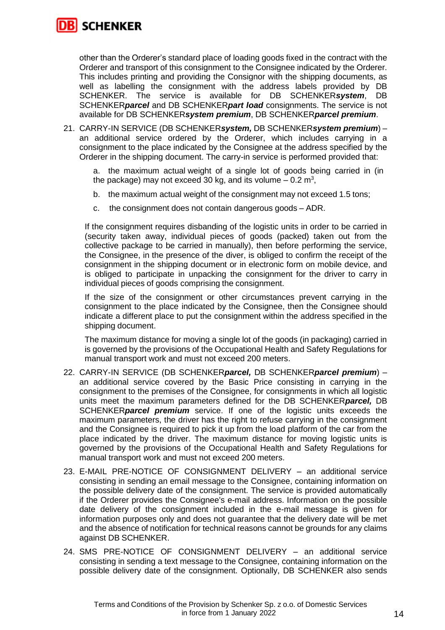

other than the Orderer's standard place of loading goods fixed in the contract with the Orderer and transport of this consignment to the Consignee indicated by the Orderer. This includes printing and providing the Consignor with the shipping documents, as well as labelling the consignment with the address labels provided by DB SCHENKER. The service is available for DB SCHENKER*system*, DB SCHENKER*parcel* and DB SCHENKER*part load* consignments. The service is not available for DB SCHENKER*system premium*, DB SCHENKER*parcel premium*.

21. CARRY-IN SERVICE (DB SCHENKER*system,* DB SCHENKER*system premium*) – an additional service ordered by the Orderer, which includes carrying in a consignment to the place indicated by the Consignee at the address specified by the Orderer in the shipping document. The carry-in service is performed provided that:

a. the maximum actual weight of a single lot of goods being carried in (in the package) may not exceed 30 kg, and its volume – 0.2 m<sup>3</sup>,

- b. the maximum actual weight of the consignment may not exceed 1.5 tons;
- c. the consignment does not contain dangerous goods ADR.

If the consignment requires disbanding of the logistic units in order to be carried in (security taken away, individual pieces of goods (packed) taken out from the collective package to be carried in manually), then before performing the service, the Consignee, in the presence of the diver, is obliged to confirm the receipt of the consignment in the shipping document or in electronic form on mobile device, and is obliged to participate in unpacking the consignment for the driver to carry in individual pieces of goods comprising the consignment.

If the size of the consignment or other circumstances prevent carrying in the consignment to the place indicated by the Consignee, then the Consignee should indicate a different place to put the consignment within the address specified in the shipping document.

The maximum distance for moving a single lot of the goods (in packaging) carried in is governed by the provisions of the Occupational Health and Safety Regulations for manual transport work and must not exceed 200 meters.

- 22. CARRY-IN SERVICE (DB SCHENKER*parcel,* DB SCHENKER*parcel premium*) an additional service covered by the Basic Price consisting in carrying in the consignment to the premises of the Consignee, for consignments in which all logistic units meet the maximum parameters defined for the DB SCHENKER*parcel,* DB SCHENKER*parcel premium* service. If one of the logistic units exceeds the maximum parameters, the driver has the right to refuse carrying in the consignment and the Consignee is required to pick it up from the load platform of the car from the place indicated by the driver. The maximum distance for moving logistic units is governed by the provisions of the Occupational Health and Safety Regulations for manual transport work and must not exceed 200 meters.
- 23. E-MAIL PRE-NOTICE OF CONSIGNMENT DELIVERY an additional service consisting in sending an email message to the Consignee, containing information on the possible delivery date of the consignment. The service is provided automatically if the Orderer provides the Consignee's e-mail address. Information on the possible date delivery of the consignment included in the e-mail message is given for information purposes only and does not guarantee that the delivery date will be met and the absence of notification for technical reasons cannot be grounds for any claims against DB SCHENKER.
- 24. SMS PRE-NOTICE OF CONSIGNMENT DELIVERY an additional service consisting in sending a text message to the Consignee, containing information on the possible delivery date of the consignment. Optionally, DB SCHENKER also sends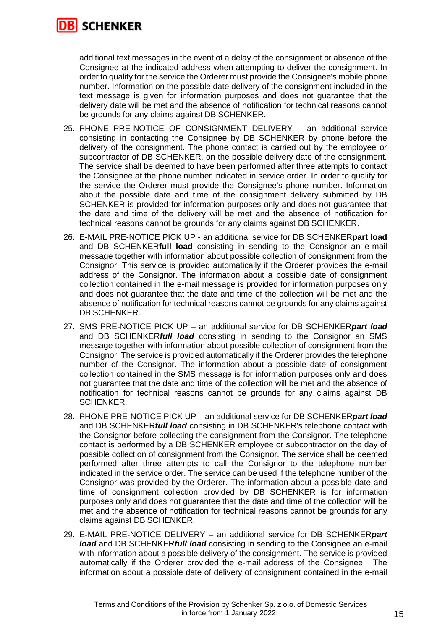

additional text messages in the event of a delay of the consignment or absence of the Consignee at the indicated address when attempting to deliver the consignment. In order to qualify for the service the Orderer must provide the Consignee's mobile phone number. Information on the possible date delivery of the consignment included in the text message is given for information purposes and does not guarantee that the delivery date will be met and the absence of notification for technical reasons cannot be grounds for any claims against DB SCHENKER.

- 25. PHONE PRE-NOTICE OF CONSIGNMENT DELIVERY an additional service consisting in contacting the Consignee by DB SCHENKER by phone before the delivery of the consignment. The phone contact is carried out by the employee or subcontractor of DB SCHENKER, on the possible delivery date of the consignment. The service shall be deemed to have been performed after three attempts to contact the Consignee at the phone number indicated in service order. In order to qualify for the service the Orderer must provide the Consignee's phone number. Information about the possible date and time of the consignment delivery submitted by DB SCHENKER is provided for information purposes only and does not guarantee that the date and time of the delivery will be met and the absence of notification for technical reasons cannot be grounds for any claims against DB SCHENKER.
- 26. E-MAIL PRE-NOTICE PICK UP an additional service for DB SCHENKER**part load** and DB SCHENKER**full load** consisting in sending to the Consignor an e-mail message together with information about possible collection of consignment from the Consignor. This service is provided automatically if the Orderer provides the e-mail address of the Consignor. The information about a possible date of consignment collection contained in the e-mail message is provided for information purposes only and does not guarantee that the date and time of the collection will be met and the absence of notification for technical reasons cannot be grounds for any claims against DB SCHENKER.
- 27. SMS PRE-NOTICE PICK UP an additional service for DB SCHENKER*part load* and DB SCHENKER*full load* consisting in sending to the Consignor an SMS message together with information about possible collection of consignment from the Consignor. The service is provided automatically if the Orderer provides the telephone number of the Consignor. The information about a possible date of consignment collection contained in the SMS message is for information purposes only and does not guarantee that the date and time of the collection will be met and the absence of notification for technical reasons cannot be grounds for any claims against DB SCHENKER.
- 28. PHONE PRE-NOTICE PICK UP an additional service for DB SCHENKER*part load* and DB SCHENKER*full load* consisting in DB SCHENKER's telephone contact with the Consignor before collecting the consignment from the Consignor. The telephone contact is performed by a DB SCHENKER employee or subcontractor on the day of possible collection of consignment from the Consignor. The service shall be deemed performed after three attempts to call the Consignor to the telephone number indicated in the service order. The service can be used if the telephone number of the Consignor was provided by the Orderer. The information about a possible date and time of consignment collection provided by DB SCHENKER is for information purposes only and does not guarantee that the date and time of the collection will be met and the absence of notification for technical reasons cannot be grounds for any claims against DB SCHENKER.
- 29. E-MAIL PRE-NOTICE DELIVERY an additional service for DB SCHENKER*part load* and DB SCHENKER*full load* consisting in sending to the Consignee an e-mail with information about a possible delivery of the consignment. The service is provided automatically if the Orderer provided the e-mail address of the Consignee. The information about a possible date of delivery of consignment contained in the e-mail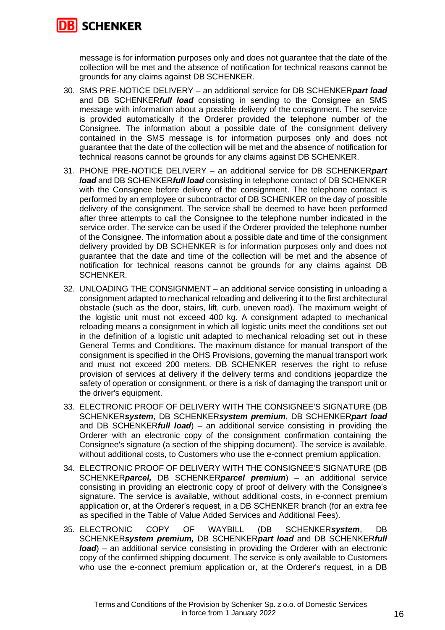

message is for information purposes only and does not guarantee that the date of the collection will be met and the absence of notification for technical reasons cannot be grounds for any claims against DB SCHENKER.

- 30. SMS PRE-NOTICE DELIVERY an additional service for DB SCHENKER*part load* and DB SCHENKER*full load* consisting in sending to the Consignee an SMS message with information about a possible delivery of the consignment. The service is provided automatically if the Orderer provided the telephone number of the Consignee. The information about a possible date of the consignment delivery contained in the SMS message is for information purposes only and does not guarantee that the date of the collection will be met and the absence of notification for technical reasons cannot be grounds for any claims against DB SCHENKER.
- 31. PHONE PRE-NOTICE DELIVERY an additional service for DB SCHENKER*part load* and DB SCHENKER*full load* consisting in telephone contact of DB SCHENKER with the Consignee before delivery of the consignment. The telephone contact is performed by an employee or subcontractor of DB SCHENKER on the day of possible delivery of the consignment. The service shall be deemed to have been performed after three attempts to call the Consignee to the telephone number indicated in the service order. The service can be used if the Orderer provided the telephone number of the Consignee. The information about a possible date and time of the consignment delivery provided by DB SCHENKER is for information purposes only and does not guarantee that the date and time of the collection will be met and the absence of notification for technical reasons cannot be grounds for any claims against DB SCHENKER.
- 32. UNLOADING THE CONSIGNMENT an additional service consisting in unloading a consignment adapted to mechanical reloading and delivering it to the first architectural obstacle (such as the door, stairs, lift, curb, uneven road). The maximum weight of the logistic unit must not exceed 400 kg. A consignment adapted to mechanical reloading means a consignment in which all logistic units meet the conditions set out in the definition of a logistic unit adapted to mechanical reloading set out in these General Terms and Conditions. The maximum distance for manual transport of the consignment is specified in the OHS Provisions, governing the manual transport work and must not exceed 200 meters. DB SCHENKER reserves the right to refuse provision of services at delivery if the delivery terms and conditions jeopardize the safety of operation or consignment, or there is a risk of damaging the transport unit or the driver's equipment.
- 33. ELECTRONIC PROOF OF DELIVERY WITH THE CONSIGNEE'S SIGNATURE (DB SCHENKER*system*, DB SCHENKER*system premium*, DB SCHENKER*part load* and DB SCHENKER*full load*) – an additional service consisting in providing the Orderer with an electronic copy of the consignment confirmation containing the Consignee's signature (a section of the shipping document). The service is available, without additional costs, to Customers who use the e-connect premium application.
- 34. ELECTRONIC PROOF OF DELIVERY WITH THE CONSIGNEE'S SIGNATURE (DB SCHENKER*parcel,* DB SCHENKER*parcel premium*) – an additional service consisting in providing an electronic copy of proof of delivery with the Consignee's signature. The service is available, without additional costs, in e-connect premium application or, at the Orderer's request, in a DB SCHENKER branch (for an extra fee as specified in the Table of Value Added Services and Additional Fees).
- 35. ELECTRONIC COPY OF WAYBILL (DB SCHENKER*system*, DB SCHENKER*system premium,* DB SCHENKER*part load* and DB SCHENKER*full load*) – an additional service consisting in providing the Orderer with an electronic copy of the confirmed shipping document. The service is only available to Customers who use the e-connect premium application or, at the Orderer's request, in a DB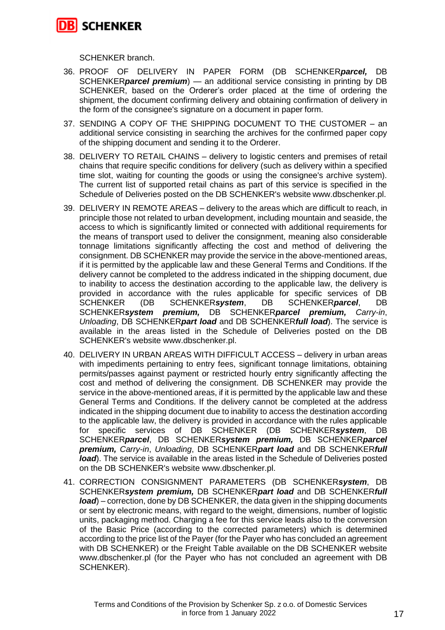

SCHENKER branch.

- 36. PROOF OF DELIVERY IN PAPER FORM (DB SCHENKER*parcel,* DB SCHENKER*parcel premium*) — an additional service consisting in printing by DB SCHENKER, based on the Orderer's order placed at the time of ordering the shipment, the document confirming delivery and obtaining confirmation of delivery in the form of the consignee's signature on a document in paper form.
- 37. SENDING A COPY OF THE SHIPPING DOCUMENT TO THE CUSTOMER an additional service consisting in searching the archives for the confirmed paper copy of the shipping document and sending it to the Orderer.
- 38. DELIVERY TO RETAIL CHAINS delivery to logistic centers and premises of retail chains that require specific conditions for delivery (such as delivery within a specified time slot, waiting for counting the goods or using the consignee's archive system). The current list of supported retail chains as part of this service is specified in the Schedule of Deliveries posted on the DB SCHENKER's website www.dbschenker.pl.
- 39. DELIVERY IN REMOTE AREAS delivery to the areas which are difficult to reach, in principle those not related to urban development, including mountain and seaside, the access to which is significantly limited or connected with additional requirements for the means of transport used to deliver the consignment, meaning also considerable tonnage limitations significantly affecting the cost and method of delivering the consignment. DB SCHENKER may provide the service in the above-mentioned areas, if it is permitted by the applicable law and these General Terms and Conditions. If the delivery cannot be completed to the address indicated in the shipping document, due to inability to access the destination according to the applicable law, the delivery is provided in accordance with the rules applicable for specific services of DB<br>SCHENKER (DB SCHENKERsvstem. DB SCHENKERparcel. DB SCHENKER (DB SCHENKER*system*, DB SCHENKER*parcel*, DB SCHENKER*system premium,* DB SCHENKER*parcel premium, Carry-in*, *Unloading*, DB SCHENKER*part load* and DB SCHENKER*full load*). The service is available in the areas listed in the Schedule of Deliveries posted on the DB SCHENKER's website www.dbschenker.pl.
- 40. DELIVERY IN URBAN AREAS WITH DIFFICULT ACCESS delivery in urban areas with impediments pertaining to entry fees, significant tonnage limitations, obtaining permits/passes against payment or restricted hourly entry significantly affecting the cost and method of delivering the consignment. DB SCHENKER may provide the service in the above-mentioned areas, if it is permitted by the applicable law and these General Terms and Conditions. If the delivery cannot be completed at the address indicated in the shipping document due to inability to access the destination according to the applicable law, the delivery is provided in accordance with the rules applicable for specific services of DB SCHENKER (DB SCHENKER*system*, DB SCHENKER*parcel*, DB SCHENKER*system premium,* DB SCHENKER*parcel premium, Carry-in*, *Unloading*, DB SCHENKER*part load* and DB SCHENKER*full load*). The service is available in the areas listed in the Schedule of Deliveries posted on the DB SCHENKER's website www.dbschenker.pl.
- 41. CORRECTION CONSIGNMENT PARAMETERS (DB SCHENKER*system*, DB SCHENKER*system premium,* DB SCHENKER*part load* and DB SCHENKER*full load*) – correction, done by DB SCHENKER, the data given in the shipping documents or sent by electronic means, with regard to the weight, dimensions, number of logistic units, packaging method. Charging a fee for this service leads also to the conversion of the Basic Price (according to the corrected parameters) which is determined according to the price list of the Payer (for the Payer who has concluded an agreement with DB SCHENKER) or the Freight Table available on the DB SCHENKER website www.dbschenker.pl (for the Payer who has not concluded an agreement with DB SCHENKER).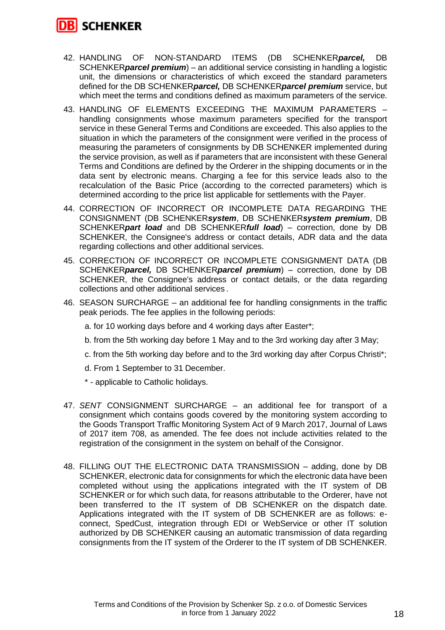

- 42. HANDLING OF NON-STANDARD ITEMS (DB SCHENKER*parcel,* DB SCHENKER*parcel premium*) – an additional service consisting in handling a logistic unit, the dimensions or characteristics of which exceed the standard parameters defined for the DB SCHENKER*parcel,* DB SCHENKER*parcel premium* service, but which meet the terms and conditions defined as maximum parameters of the service.
- 43. HANDLING OF ELEMENTS EXCEEDING THE MAXIMUM PARAMETERS handling consignments whose maximum parameters specified for the transport service in these General Terms and Conditions are exceeded. This also applies to the situation in which the parameters of the consignment were verified in the process of measuring the parameters of consignments by DB SCHENKER implemented during the service provision, as well as if parameters that are inconsistent with these General Terms and Conditions are defined by the Orderer in the shipping documents or in the data sent by electronic means. Charging a fee for this service leads also to the recalculation of the Basic Price (according to the corrected parameters) which is determined according to the price list applicable for settlements with the Payer.
- 44. CORRECTION OF INCORRECT OR INCOMPLETE DATA REGARDING THE CONSIGNMENT (DB SCHENKER*system*, DB SCHENKER*system premium*, DB SCHENKER*part load* and DB SCHENKER*full load*) – correction, done by DB SCHENKER, the Consignee's address or contact details, ADR data and the data regarding collections and other additional services.
- 45. CORRECTION OF INCORRECT OR INCOMPLETE CONSIGNMENT DATA (DB SCHENKER*parcel,* DB SCHENKER*parcel premium*) – correction, done by DB SCHENKER, the Consignee's address or contact details, or the data regarding collections and other additional services .
- 46. SEASON SURCHARGE an additional fee for handling consignments in the traffic peak periods. The fee applies in the following periods:
	- a. for 10 working days before and 4 working days after Easter\*;
	- b. from the 5th working day before 1 May and to the 3rd working day after 3 May;
	- c. from the 5th working day before and to the 3rd working day after Corpus Christi\*;
	- d. From 1 September to 31 December.
	- \* applicable to Catholic holidays.
- 47. *SENT* CONSIGNMENT SURCHARGE an additional fee for transport of a consignment which contains goods covered by the monitoring system according to the Goods Transport Traffic Monitoring System Act of 9 March 2017, Journal of Laws of 2017 item 708, as amended. The fee does not include activities related to the registration of the consignment in the system on behalf of the Consignor.
- 48. FILLING OUT THE ELECTRONIC DATA TRANSMISSION adding, done by DB SCHENKER, electronic data for consignments for which the electronic data have been completed without using the applications integrated with the IT system of DB SCHENKER or for which such data, for reasons attributable to the Orderer, have not been transferred to the IT system of DB SCHENKER on the dispatch date. Applications integrated with the IT system of DB SCHENKER are as follows: econnect, SpedCust, integration through EDI or WebService or other IT solution authorized by DB SCHENKER causing an automatic transmission of data regarding consignments from the IT system of the Orderer to the IT system of DB SCHENKER.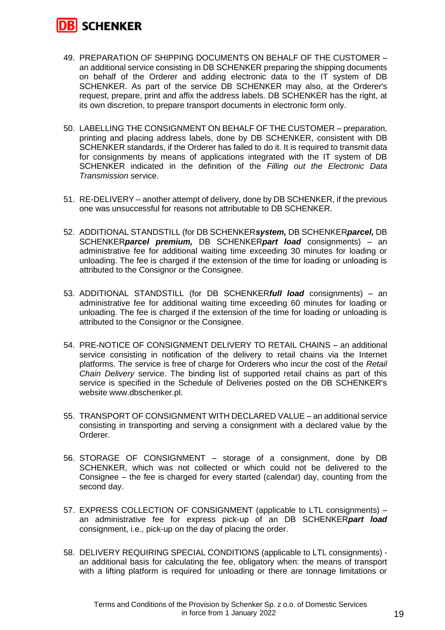

- 49. PREPARATION OF SHIPPING DOCUMENTS ON BEHALF OF THE CUSTOMER an additional service consisting in DB SCHENKER preparing the shipping documents on behalf of the Orderer and adding electronic data to the IT system of DB SCHENKER. As part of the service DB SCHENKER may also, at the Orderer's request, prepare, print and affix the address labels. DB SCHENKER has the right, at its own discretion, to prepare transport documents in electronic form only.
- 50. LABELLING THE CONSIGNMENT ON BEHALF OF THE CUSTOMER preparation, printing and placing address labels, done by DB SCHENKER, consistent with DB SCHENKER standards, if the Orderer has failed to do it. It is required to transmit data for consignments by means of applications integrated with the IT system of DB SCHENKER indicated in the definition of the *Filling out the Electronic Data Transmission* service.
- 51. RE-DELIVERY another attempt of delivery, done by DB SCHENKER, if the previous one was unsuccessful for reasons not attributable to DB SCHENKER.
- 52. ADDITIONAL STANDSTILL (for DB SCHENKER*system,* DB SCHENKER*parcel,* DB SCHENKER*parcel premium,* DB SCHENKER*part load* consignments) – an administrative fee for additional waiting time exceeding 30 minutes for loading or unloading. The fee is charged if the extension of the time for loading or unloading is attributed to the Consignor or the Consignee.
- 53. ADDITIONAL STANDSTILL (for DB SCHENKER*full load* consignments) an administrative fee for additional waiting time exceeding 60 minutes for loading or unloading. The fee is charged if the extension of the time for loading or unloading is attributed to the Consignor or the Consignee.
- 54. PRE-NOTICE OF CONSIGNMENT DELIVERY TO RETAIL CHAINS an additional service consisting in notification of the delivery to retail chains via the Internet platforms. The service is free of charge for Orderers who incur the cost of the *Retail Chain Delivery* service. The binding list of supported retail chains as part of this service is specified in the Schedule of Deliveries posted on the DB SCHENKER's website www.dbschenker.pl.
- 55. TRANSPORT OF CONSIGNMENT WITH DECLARED VALUE an additional service consisting in transporting and serving a consignment with a declared value by the Orderer.
- 56. STORAGE OF CONSIGNMENT storage of a consignment, done by DB SCHENKER, which was not collected or which could not be delivered to the Consignee – the fee is charged for every started (calendar) day, counting from the second day.
- 57. EXPRESS COLLECTION OF CONSIGNMENT (applicable to LTL consignments) an administrative fee for express pick-up of an DB SCHENKER*part load*  consignment, i.e., pick-up on the day of placing the order.
- 58. DELIVERY REQUIRING SPECIAL CONDITIONS (applicable to LTL consignments) an additional basis for calculating the fee, obligatory when: the means of transport with a lifting platform is required for unloading or there are tonnage limitations or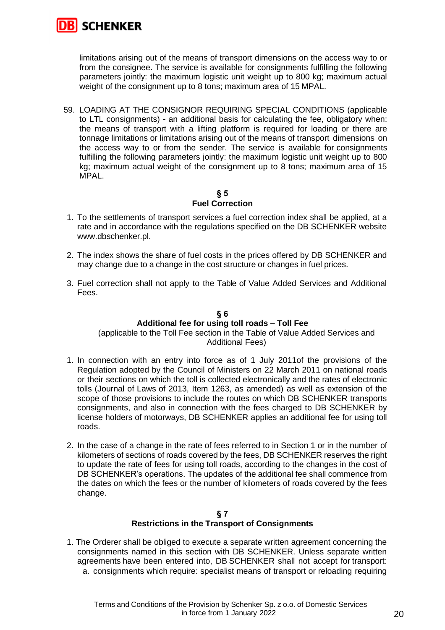

limitations arising out of the means of transport dimensions on the access way to or from the consignee. The service is available for consignments fulfilling the following parameters jointly: the maximum logistic unit weight up to 800 kg; maximum actual weight of the consignment up to 8 tons; maximum area of 15 MPAL.

59. LOADING AT THE CONSIGNOR REQUIRING SPECIAL CONDITIONS (applicable to LTL consignments) - an additional basis for calculating the fee, obligatory when: the means of transport with a lifting platform is required for loading or there are tonnage limitations or limitations arising out of the means of transport dimensions on the access way to or from the sender. The service is available for consignments fulfilling the following parameters jointly: the maximum logistic unit weight up to 800 kg; maximum actual weight of the consignment up to 8 tons; maximum area of 15 MPAL.

# **§ 5 Fuel Correction**

- 1. To the settlements of transport services a fuel correction index shall be applied, at a rate and in accordance with the regulations specified on the DB SCHENKER website www.dbschenker.pl.
- 2. The index shows the share of fuel costs in the prices offered by DB SCHENKER and may change due to a change in the cost structure or changes in fuel prices.
- 3. Fuel correction shall not apply to the Table of Value Added Services and Additional Fees.

# **§ 6 Additional fee for using toll roads – Toll Fee**

(applicable to the Toll Fee section in the Table of Value Added Services and Additional Fees)

- 1. In connection with an entry into force as of 1 July 2011of the provisions of the Regulation adopted by the Council of Ministers on 22 March 2011 on national roads or their sections on which the toll is collected electronically and the rates of electronic tolls (Journal of Laws of 2013, Item 1263, as amended) as well as extension of the scope of those provisions to include the routes on which DB SCHENKER transports consignments, and also in connection with the fees charged to DB SCHENKER by license holders of motorways, DB SCHENKER applies an additional fee for using toll roads.
- 2. In the case of a change in the rate of fees referred to in Section 1 or in the number of kilometers of sections of roads covered by the fees, DB SCHENKER reserves the right to update the rate of fees for using toll roads, according to the changes in the cost of DB SCHENKER's operations. The updates of the additional fee shall commence from the dates on which the fees or the number of kilometers of roads covered by the fees change.

# **§ 7 Restrictions in the Transport of Consignments**

1. The Orderer shall be obliged to execute a separate written agreement concerning the consignments named in this section with DB SCHENKER. Unless separate written agreements have been entered into, DB SCHENKER shall not accept for transport: a. consignments which require: specialist means of transport or reloading requiring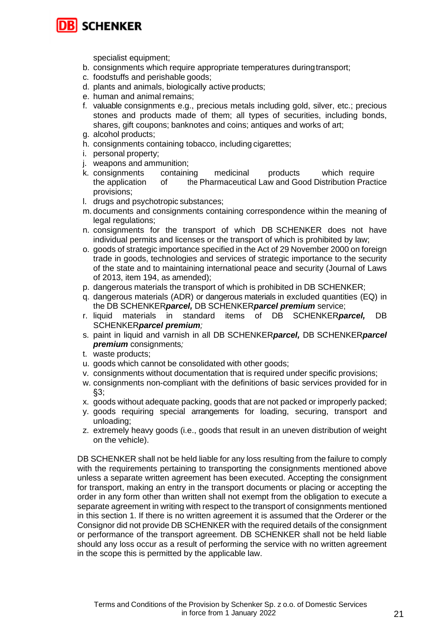

specialist equipment;

- b. consignments which require appropriate temperatures duringtransport;
- c. foodstuffs and perishable goods;
- d. plants and animals, biologically active products;
- e. human and animal remains;
- f. valuable consignments e.g., precious metals including gold, silver, etc.; precious stones and products made of them; all types of securities, including bonds, shares, gift coupons; banknotes and coins; antiques and works of art;
- g. alcohol products;
- h. consignments containing tobacco, including cigarettes;
- i. personal property;
- j. weapons and ammunition;
- k. consignments containing medicinal products which require the application of the Pharmaceutical Law and Good Distribution Practice provisions;
- l. drugs and psychotropic substances;
- m. documents and consignments containing correspondence within the meaning of legal regulations;
- n. consignments for the transport of which DB SCHENKER does not have individual permits and licenses or the transport of which is prohibited by law;
- o. goods of strategic importance specified in the Act of 29 November 2000 on foreign trade in goods, technologies and services of strategic importance to the security of the state and to maintaining international peace and security (Journal of Laws of 2013, item 194, as amended);
- p. dangerous materials the transport of which is prohibited in DB SCHENKER;
- q. dangerous materials (ADR) or dangerous materials in excluded quantities (EQ) in the DB SCHENKER*parcel,* DB SCHENKER*parcel premium* service;
- r. liquid materials in standard items of DB SCHENKER*parcel,* DB SCHENKER*parcel premium;*
- s. paint in liquid and varnish in all DB SCHENKER*parcel,* DB SCHENKER*parcel premium* consignments*;*
- t. waste products;
- u. goods which cannot be consolidated with other goods;
- v. consignments without documentation that is required under specific provisions;
- w. consignments non-compliant with the definitions of basic services provided for in §3;
- x. goods without adequate packing, goods that are not packed or improperly packed;
- y. goods requiring special arrangements for loading, securing, transport and unloading;
- z. extremely heavy goods (i.e., goods that result in an uneven distribution of weight on the vehicle).

DB SCHENKER shall not be held liable for any loss resulting from the failure to comply with the requirements pertaining to transporting the consignments mentioned above unless a separate written agreement has been executed. Accepting the consignment for transport, making an entry in the transport documents or placing or accepting the order in any form other than written shall not exempt from the obligation to execute a separate agreement in writing with respect to the transport of consignments mentioned in this section 1. If there is no written agreement it is assumed that the Orderer or the Consignor did not provide DB SCHENKER with the required details of the consignment or performance of the transport agreement. DB SCHENKER shall not be held liable should any loss occur as a result of performing the service with no written agreement in the scope this is permitted by the applicable law.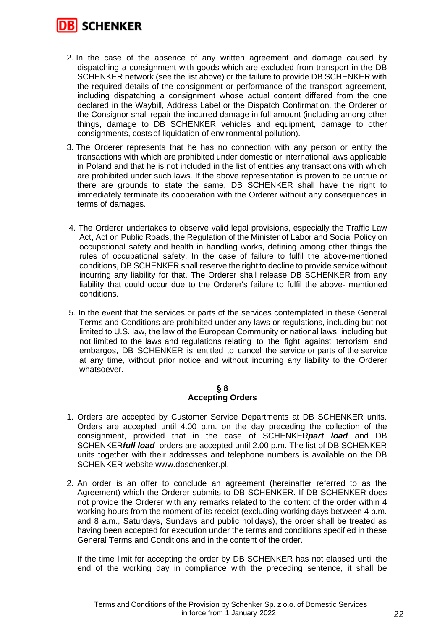

- 2. In the case of the absence of any written agreement and damage caused by dispatching a consignment with goods which are excluded from transport in the DB SCHENKER network (see the list above) or the failure to provide DB SCHENKER with the required details of the consignment or performance of the transport agreement, including dispatching a consignment whose actual content differed from the one declared in the Waybill, Address Label or the Dispatch Confirmation, the Orderer or the Consignor shall repair the incurred damage in full amount (including among other things, damage to DB SCHENKER vehicles and equipment, damage to other consignments, costs of liquidation of environmental pollution).
- 3. The Orderer represents that he has no connection with any person or entity the transactions with which are prohibited under domestic or international laws applicable in Poland and that he is not included in the list of entities any transactions with which are prohibited under such laws. If the above representation is proven to be untrue or there are grounds to state the same, DB SCHENKER shall have the right to immediately terminate its cooperation with the Orderer without any consequences in terms of damages.
- 4. The Orderer undertakes to observe valid legal provisions, especially the Traffic Law Act, Act on Public Roads, the Regulation of the Minister of Labor and Social Policy on occupational safety and health in handling works, defining among other things the rules of occupational safety. In the case of failure to fulfil the above-mentioned conditions, DB SCHENKER shall reserve the right to decline to provide service without incurring any liability for that. The Orderer shall release DB SCHENKER from any liability that could occur due to the Orderer's failure to fulfil the above- mentioned conditions.
- 5. In the event that the services or parts of the services contemplated in these General Terms and Conditions are prohibited under any laws or regulations, including but not limited to U.S. law, the law of the European Community or national laws, including but not limited to the laws and regulations relating to the fight against terrorism and embargos, DB SCHENKER is entitled to cancel the service or parts of the service at any time, without prior notice and without incurring any liability to the Orderer whatsoever.

#### **§ 8 Accepting Orders**

- 1. Orders are accepted by Customer Service Departments at DB SCHENKER units. Orders are accepted until 4.00 p.m. on the day preceding the collection of the consignment, provided that in the case of SCHENKER*part load* and DB SCHENKER*full load* orders are accepted until 2.00 p.m. The list of DB SCHENKER units together with their addresses and telephone numbers is available on the DB SCHENKER website www.dbschenker.pl.
- 2. An order is an offer to conclude an agreement (hereinafter referred to as the Agreement) which the Orderer submits to DB SCHENKER. If DB SCHENKER does not provide the Orderer with any remarks related to the content of the order within 4 working hours from the moment of its receipt (excluding working days between 4 p.m. and 8 a.m., Saturdays, Sundays and public holidays), the order shall be treated as having been accepted for execution under the terms and conditions specified in these General Terms and Conditions and in the content of the order.

If the time limit for accepting the order by DB SCHENKER has not elapsed until the end of the working day in compliance with the preceding sentence, it shall be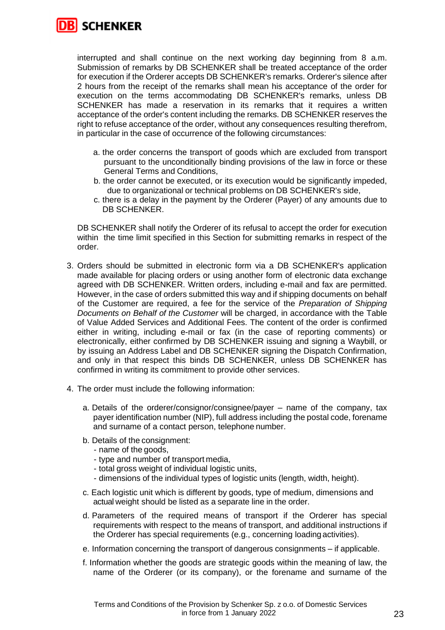

interrupted and shall continue on the next working day beginning from 8 a.m. Submission of remarks by DB SCHENKER shall be treated acceptance of the order for execution if the Orderer accepts DB SCHENKER's remarks. Orderer's silence after 2 hours from the receipt of the remarks shall mean his acceptance of the order for execution on the terms accommodating DB SCHENKER's remarks, unless DB SCHENKER has made a reservation in its remarks that it requires a written acceptance of the order's content including the remarks. DB SCHENKER reserves the right to refuse acceptance of the order, without any consequences resulting therefrom, in particular in the case of occurrence of the following circumstances:

- a. the order concerns the transport of goods which are excluded from transport pursuant to the unconditionally binding provisions of the law in force or these General Terms and Conditions,
- b. the order cannot be executed, or its execution would be significantly impeded, due to organizational or technical problems on DB SCHENKER's side,
- c. there is a delay in the payment by the Orderer (Payer) of any amounts due to DB SCHENKER.

DB SCHENKER shall notify the Orderer of its refusal to accept the order for execution within the time limit specified in this Section for submitting remarks in respect of the order.

- 3. Orders should be submitted in electronic form via a DB SCHENKER's application made available for placing orders or using another form of electronic data exchange agreed with DB SCHENKER. Written orders, including e-mail and fax are permitted. However, in the case of orders submitted this way and if shipping documents on behalf of the Customer are required, a fee for the service of the *Preparation of Shipping Documents on Behalf of the Customer* will be charged, in accordance with the Table of Value Added Services and Additional Fees. The content of the order is confirmed either in writing, including e-mail or fax (in the case of reporting comments) or electronically, either confirmed by DB SCHENKER issuing and signing a Waybill, or by issuing an Address Label and DB SCHENKER signing the Dispatch Confirmation, and only in that respect this binds DB SCHENKER, unless DB SCHENKER has confirmed in writing its commitment to provide other services.
- 4. The order must include the following information:
	- a. Details of the orderer/consignor/consignee/payer name of the company, tax payer identification number (NIP), full address including the postal code, forename and surname of a contact person, telephone number.
	- b. Details of the consignment:
		- name of the goods,
		- type and number of transport media,
		- total gross weight of individual logistic units,
		- dimensions of the individual types of logistic units (length, width, height).
	- c. Each logistic unit which is different by goods, type of medium, dimensions and actual weight should be listed as a separate line in the order.
	- d. Parameters of the required means of transport if the Orderer has special requirements with respect to the means of transport, and additional instructions if the Orderer has special requirements (e.g., concerning loading activities).
	- e. Information concerning the transport of dangerous consignments if applicable.
	- f. Information whether the goods are strategic goods within the meaning of law, the name of the Orderer (or its company), or the forename and surname of the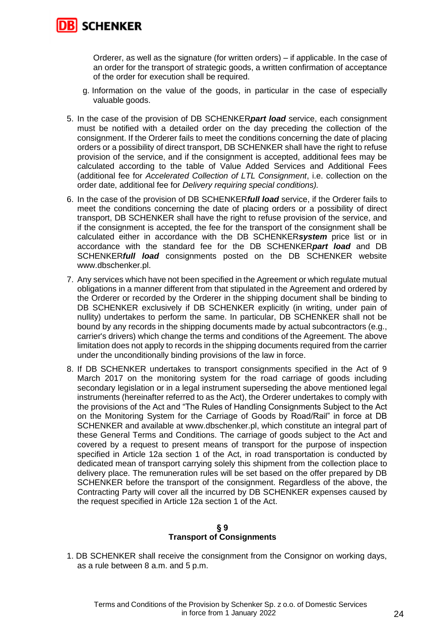

Orderer, as well as the signature (for written orders) – if applicable. In the case of an order for the transport of strategic goods, a written confirmation of acceptance of the order for execution shall be required.

- g. Information on the value of the goods, in particular in the case of especially valuable goods.
- 5. In the case of the provision of DB SCHENKER*part load* service, each consignment must be notified with a detailed order on the day preceding the collection of the consignment. If the Orderer fails to meet the conditions concerning the date of placing orders or a possibility of direct transport, DB SCHENKER shall have the right to refuse provision of the service, and if the consignment is accepted, additional fees may be calculated according to the table of Value Added Services and Additional Fees (additional fee for *Accelerated Collection of LTL Consignment*, i.e. collection on the order date, additional fee for *Delivery requiring special conditions).*
- 6. In the case of the provision of DB SCHENKER*full load* service, if the Orderer fails to meet the conditions concerning the date of placing orders or a possibility of direct transport, DB SCHENKER shall have the right to refuse provision of the service, and if the consignment is accepted, the fee for the transport of the consignment shall be calculated either in accordance with the DB SCHENKER*system* price list or in accordance with the standard fee for the DB SCHENKER*part load* and DB SCHENKER*full load* consignments posted on the DB SCHENKER website www.dbschenker.pl.
- 7. Any services which have not been specified in the Agreement or which regulate mutual obligations in a manner different from that stipulated in the Agreement and ordered by the Orderer or recorded by the Orderer in the shipping document shall be binding to DB SCHENKER exclusively if DB SCHENKER explicitly (in writing, under pain of nullity) undertakes to perform the same. In particular, DB SCHENKER shall not be bound by any records in the shipping documents made by actual subcontractors (e.g., carrier's drivers) which change the terms and conditions of the Agreement. The above limitation does not apply to records in the shipping documents required from the carrier under the unconditionally binding provisions of the law in force.
- 8. If DB SCHENKER undertakes to transport consignments specified in the Act of 9 March 2017 on the monitoring system for the road carriage of goods including secondary legislation or in a legal instrument superseding the above mentioned legal instruments (hereinafter referred to as the Act), the Orderer undertakes to comply with the provisions of the Act and "The Rules of Handling Consignments Subject to the Act on the Monitoring System for the Carriage of Goods by Road/Rail" in force at DB SCHENKER and available at www.dbschenker.pl, which constitute an integral part of these General Terms and Conditions. The carriage of goods subject to the Act and covered by a request to present means of transport for the purpose of inspection specified in Article 12a section 1 of the Act, in road transportation is conducted by dedicated mean of transport carrying solely this shipment from the collection place to delivery place. The remuneration rules will be set based on the offer prepared by DB SCHENKER before the transport of the consignment. Regardless of the above, the Contracting Party will cover all the incurred by DB SCHENKER expenses caused by the request specified in Article 12a section 1 of the Act.

## **§ 9 Transport of Consignments**

1. DB SCHENKER shall receive the consignment from the Consignor on working days, as a rule between 8 a.m. and 5 p.m.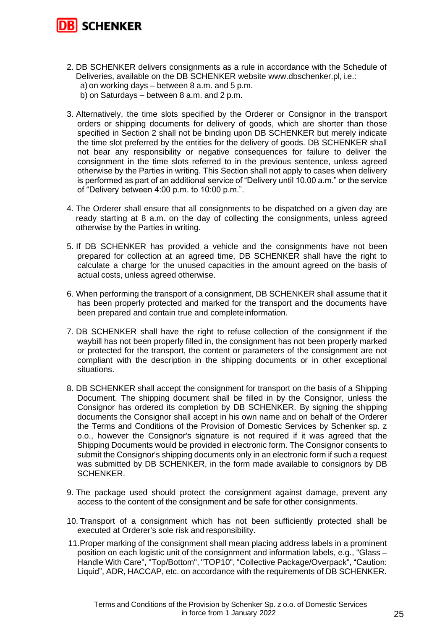

- 2. DB SCHENKER delivers consignments as a rule in accordance with the Schedule of Deliveries, available on the DB SCHENKER website www.dbschenker.pl, i.e.: a) on working days – between 8 a.m. and 5 p.m.
	- b) on Saturdays between 8 a.m. and 2 p.m.
- 3. Alternatively, the time slots specified by the Orderer or Consignor in the transport orders or shipping documents for delivery of goods, which are shorter than those specified in Section 2 shall not be binding upon DB SCHENKER but merely indicate the time slot preferred by the entities for the delivery of goods. DB SCHENKER shall not bear any responsibility or negative consequences for failure to deliver the consignment in the time slots referred to in the previous sentence, unless agreed otherwise by the Parties in writing. This Section shall not apply to cases when delivery is performed as part of an additional service of "Delivery until 10.00 a.m." or the service of "Delivery between 4:00 p.m. to 10:00 p.m.".
- 4. The Orderer shall ensure that all consignments to be dispatched on a given day are ready starting at 8 a.m. on the day of collecting the consignments, unless agreed otherwise by the Parties in writing.
- 5. If DB SCHENKER has provided a vehicle and the consignments have not been prepared for collection at an agreed time, DB SCHENKER shall have the right to calculate a charge for the unused capacities in the amount agreed on the basis of actual costs, unless agreed otherwise.
- 6. When performing the transport of a consignment, DB SCHENKER shall assume that it has been properly protected and marked for the transport and the documents have been prepared and contain true and complete information.
- 7. DB SCHENKER shall have the right to refuse collection of the consignment if the waybill has not been properly filled in, the consignment has not been properly marked or protected for the transport, the content or parameters of the consignment are not compliant with the description in the shipping documents or in other exceptional situations.
- 8. DB SCHENKER shall accept the consignment for transport on the basis of a Shipping Document. The shipping document shall be filled in by the Consignor, unless the Consignor has ordered its completion by DB SCHENKER. By signing the shipping documents the Consignor shall accept in his own name and on behalf of the Orderer the Terms and Conditions of the Provision of Domestic Services by Schenker sp. z o.o., however the Consignor's signature is not required if it was agreed that the Shipping Documents would be provided in electronic form. The Consignor consents to submit the Consignor's shipping documents only in an electronic form if such a request was submitted by DB SCHENKER, in the form made available to consignors by DB SCHENKER.
- 9. The package used should protect the consignment against damage, prevent any access to the content of the consignment and be safe for other consignments.
- 10. Transport of a consignment which has not been sufficiently protected shall be executed at Orderer's sole risk and responsibility.
- 11.Proper marking of the consignment shall mean placing address labels in a prominent position on each logistic unit of the consignment and information labels, e.g., "Glass – Handle With Care", "Top/Bottom", "TOP10", "Collective Package/Overpack", "Caution: Liquid", ADR, HACCAP, etc. on accordance with the requirements of DB SCHENKER.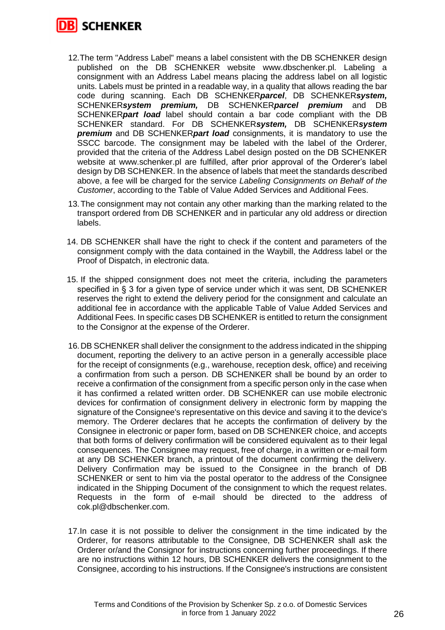

- 12.The term "Address Label" means a label consistent with the DB SCHENKER design published on the DB SCHENKER website www.dbschenker.pl. Labeling a consignment with an Address Label means placing the address label on all logistic units. Labels must be printed in a readable way, in a quality that allows reading the bar code during scanning. Each DB SCHENKER*parcel*, DB SCHENKER*system,*  SCHENKER*system premium,* DB SCHENKER*parcel premium* and DB SCHENKER*part load* label should contain a bar code compliant with the DB SCHENKER standard. For DB SCHENKER*system,* DB SCHENKER*system premium* and DB SCHENKER*part load* consignments, it is mandatory to use the SSCC barcode. The consignment may be labeled with the label of the Orderer, provided that the criteria of the Address Label design posted on the DB SCHENKER website at www.schenker.pl are fulfilled, after prior approval of the Orderer's label design by DB SCHENKER. In the absence of labels that meet the standards described above, a fee will be charged for the service *Labeling Consignments on Behalf of the Customer*, according to the Table of Value Added Services and Additional Fees.
- 13.The consignment may not contain any other marking than the marking related to the transport ordered from DB SCHENKER and in particular any old address or direction labels.
- 14. DB SCHENKER shall have the right to check if the content and parameters of the consignment comply with the data contained in the Waybill, the Address label or the Proof of Dispatch, in electronic data.
- 15. If the shipped consignment does not meet the criteria, including the parameters specified in § 3 for a given type of service under which it was sent, DB SCHENKER reserves the right to extend the delivery period for the consignment and calculate an additional fee in accordance with the applicable Table of Value Added Services and Additional Fees. In specific cases DB SCHENKER is entitled to return the consignment to the Consignor at the expense of the Orderer.
- 16.DB SCHENKER shall deliver the consignment to the address indicated in the shipping document, reporting the delivery to an active person in a generally accessible place for the receipt of consignments (e.g., warehouse, reception desk, office) and receiving a confirmation from such a person. DB SCHENKER shall be bound by an order to receive a confirmation of the consignment from a specific person only in the case when it has confirmed a related written order. DB SCHENKER can use mobile electronic devices for confirmation of consignment delivery in electronic form by mapping the signature of the Consignee's representative on this device and saving it to the device's memory. The Orderer declares that he accepts the confirmation of delivery by the Consignee in electronic or paper form, based on DB SCHENKER choice, and accepts that both forms of delivery confirmation will be considered equivalent as to their legal consequences. The Consignee may request, free of charge, in a written or e-mail form at any DB SCHENKER branch, a printout of the document confirming the delivery. Delivery Confirmation may be issued to the Consignee in the branch of DB SCHENKER or sent to him via the postal operator to the address of the Consignee indicated in the Shipping Document of the consignment to which the request relates. Requests in the form of e-mail should be directed to the address of cok.pl@dbschenker.com.
- 17.In case it is not possible to deliver the consignment in the time indicated by the Orderer, for reasons attributable to the Consignee, DB SCHENKER shall ask the Orderer or/and the Consignor for instructions concerning further proceedings. If there are no instructions within 12 hours, DB SCHENKER delivers the consignment to the Consignee, according to his instructions. If the Consignee's instructions are consistent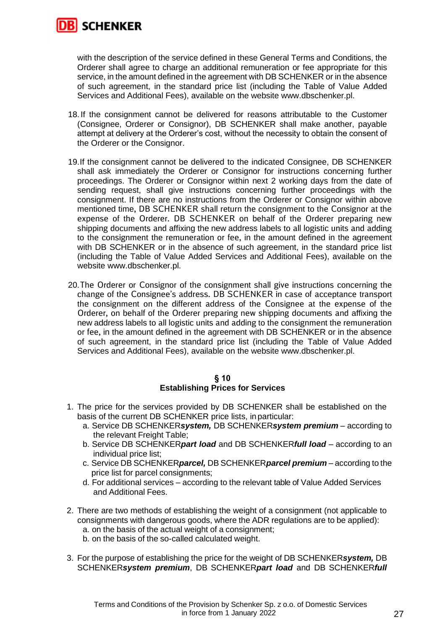

with the description of the service defined in these General Terms and Conditions, the Orderer shall agree to charge an additional remuneration or fee appropriate for this service, in the amount defined in the agreement with DB SCHENKER or in the absence of such agreement, in the standard price list (including the Table of Value Added Services and Additional Fees), available on the website www.dbschenker.pl.

- 18. If the consignment cannot be delivered for reasons attributable to the Customer (Consignee, Orderer or Consignor), DB SCHENKER shall make another, payable attempt at delivery at the Orderer's cost, without the necessity to obtain the consent of the Orderer or the Consignor.
- 19.If the consignment cannot be delivered to the indicated Consignee, DB SCHENKER shall ask immediately the Orderer or Consignor for instructions concerning further proceedings. The Orderer or Consignor within next 2 working days from the date of sending request, shall give instructions concerning further proceedings with the consignment. If there are no instructions from the Orderer or Consignor within above mentioned time, DB SCHENKER shall return the consignment to the Consignor at the expense of the Orderer. DB SCHENKER on behalf of the Orderer preparing new shipping documents and affixing the new address labels to all logistic units and adding to the consignment the remuneration or fee, in the amount defined in the agreement with DB SCHENKER or in the absence of such agreement, in the standard price list (including the Table of Value Added Services and Additional Fees), available on the website www.dbschenker.pl.
- 20.The Orderer or Consignor of the consignment shall give instructions concerning the change of the Consignee's address. DB SCHENKER in case of acceptance transport the consignment on the different address of the Consignee at the expense of the Orderer, on behalf of the Orderer preparing new shipping documents and affixing the new address labels to all logistic units and adding to the consignment the remuneration or fee, in the amount defined in the agreement with DB SCHENKER or in the absence of such agreement, in the standard price list (including the Table of Value Added Services and Additional Fees), available on the website www.dbschenker.pl.

#### **§ 10 Establishing Prices for Services**

- 1. The price for the services provided by DB SCHENKER shall be established on the basis of the current DB SCHENKER price lists, in particular:
	- a. Service DB SCHENKER*system,* DB SCHENKER*system premium* according to the relevant Freight Table;
	- b. Service DB SCHENKER*part load* and DB SCHENKER*full load*  according to an individual price list;
	- c. Service DB SCHENKER*parcel,* DB SCHENKER*parcel premium* according to the price list for parcel consignments;
	- d. For additional services according to the relevant table of Value Added Services and Additional Fees.
- 2. There are two methods of establishing the weight of a consignment (not applicable to consignments with dangerous goods, where the ADR regulations are to be applied): a. on the basis of the actual weight of a consignment;
	- b. on the basis of the so-called calculated weight.
- 3. For the purpose of establishing the price for the weight of DB SCHENKER*system,* DB SCHENKER*system premium*, DB SCHENKER*part load* and DB SCHENKER*full*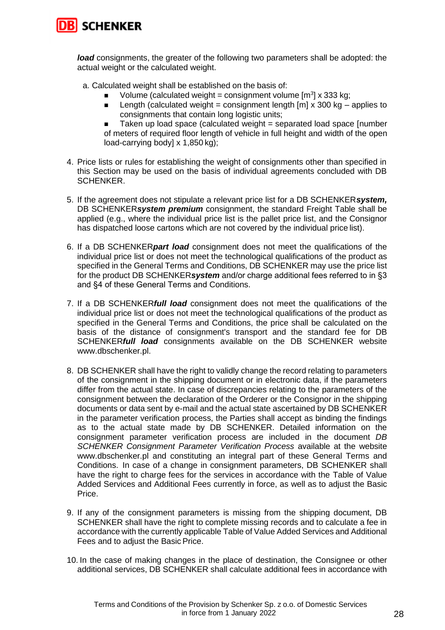

*load* consignments, the greater of the following two parameters shall be adopted: the actual weight or the calculated weight.

a. Calculated weight shall be established on the basis of:

- Volume (calculated weight = consignment volume [m<sup>3</sup>] x 333 kg;
- **■** Length (calculated weight = consignment length  $\text{Im} \times 300 \text{ kg}$  applies to consignments that contain long logistic units;
- Taken up load space (calculated weight = separated load space [number] of meters of required floor length of vehicle in full height and width of the open load-carrying body] x 1,850 kg);
- 4. Price lists or rules for establishing the weight of consignments other than specified in this Section may be used on the basis of individual agreements concluded with DB SCHENKER.
- 5. If the agreement does not stipulate a relevant price list for a DB SCHENKER*system,*  DB SCHENKER*system premium* consignment, the standard Freight Table shall be applied (e.g., where the individual price list is the pallet price list, and the Consignor has dispatched loose cartons which are not covered by the individual price list).
- 6. If a DB SCHENKER*part load* consignment does not meet the qualifications of the individual price list or does not meet the technological qualifications of the product as specified in the General Terms and Conditions, DB SCHENKER may use the price list for the product DB SCHENKER*system* and/or charge additional fees referred to in §3 and §4 of these General Terms and Conditions.
- 7. If a DB SCHENKER*full load* consignment does not meet the qualifications of the individual price list or does not meet the technological qualifications of the product as specified in the General Terms and Conditions, the price shall be calculated on the basis of the distance of consignment's transport and the standard fee for DB SCHENKER*full load* consignments available on the DB SCHENKER website www.dbschenker.pl.
- 8. DB SCHENKER shall have the right to validly change the record relating to parameters of the consignment in the shipping document or in electronic data, if the parameters differ from the actual state. In case of discrepancies relating to the parameters of the consignment between the declaration of the Orderer or the Consignor in the shipping documents or data sent by e-mail and the actual state ascertained by DB SCHENKER in the parameter verification process, the Parties shall accept as binding the findings as to the actual state made by DB SCHENKER. Detailed information on the consignment parameter verification process are included in the document *DB SCHENKER Consignment Parameter Verification Process* available at the website www.dbschenker.pl and constituting an integral part of these General Terms and Conditions. In case of a change in consignment parameters, DB SCHENKER shall have the right to charge fees for the services in accordance with the Table of Value Added Services and Additional Fees currently in force, as well as to adjust the Basic Price.
- 9. If any of the consignment parameters is missing from the shipping document, DB SCHENKER shall have the right to complete missing records and to calculate a fee in accordance with the currently applicable Table of Value Added Services and Additional Fees and to adjust the Basic Price.
- 10. In the case of making changes in the place of destination, the Consignee or other additional services, DB SCHENKER shall calculate additional fees in accordance with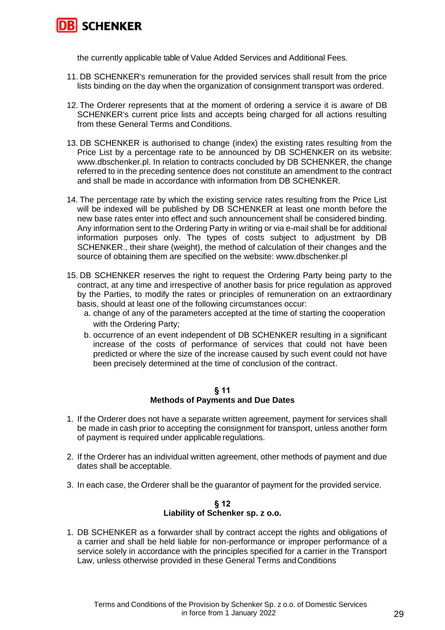

the currently applicable table of Value Added Services and Additional Fees.

- 11. DB SCHENKER's remuneration for the provided services shall result from the price lists binding on the day when the organization of consignment transport was ordered.
- 12. The Orderer represents that at the moment of ordering a service it is aware of DB SCHENKER's current price lists and accepts being charged for all actions resulting from these General Terms and Conditions.
- 13. DB SCHENKER is authorised to change (index) the existing rates resulting from the Price List by a percentage rate to be announced by DB SCHENKER on its website: [www.dbschenker.pl.](https://eur03.safelinks.protection.outlook.com/?url=http%3A%2F%2Fwww.dbschenker.pl%2F&data=04%7C01%7CMichal.Sokolowski%40dbschenker.com%7C5d7e65d0b7eb428c0e2b08d993cb4999%7Cc5d1e823e2b846bf92ff84f54313e0a5%7C0%7C0%7C637703323589912395%7CUnknown%7CTWFpbGZsb3d8eyJWIjoiMC4wLjAwMDAiLCJQIjoiV2luMzIiLCJBTiI6Ik1haWwiLCJXVCI6Mn0%3D%7C1000&sdata=KjIqTHeMRcU%2BL9YQ3Qr2vv65lWl7T9sLClx%2BQ9khgRQ%3D&reserved=0) In relation to contracts concluded by DB SCHENKER, the change referred to in the preceding sentence does not constitute an amendment to the contract and shall be made in accordance with information from DB SCHENKER.
- 14. The percentage rate by which the existing service rates resulting from the Price List will be indexed will be published by DB SCHENKER at least one month before the new base rates enter into effect and such announcement shall be considered binding. Any information sent to the Ordering Party in writing or via e-mail shall be for additional information purposes only. The types of costs subject to adjustment by DB SCHENKER., their share (weight), the method of calculation of their changes and the source of obtaining them are specified on the website: www.dbschenker.pl
- 15. DB SCHENKER reserves the right to request the Ordering Party being party to the contract, at any time and irrespective of another basis for price regulation as approved by the Parties, to modify the rates or principles of remuneration on an extraordinary basis, should at least one of the following circumstances occur:
	- a. change of any of the parameters accepted at the time of starting the cooperation with the Ordering Party;
	- b. occurrence of an event independent of DB SCHENKER resulting in a significant increase of the costs of performance of services that could not have been predicted or where the size of the increase caused by such event could not have been precisely determined at the time of conclusion of the contract.

#### **§ 11**

#### **Methods of Payments and Due Dates**

- 1. If the Orderer does not have a separate written agreement, payment for services shall be made in cash prior to accepting the consignment for transport, unless another form of payment is required under applicable regulations.
- 2. If the Orderer has an individual written agreement, other methods of payment and due dates shall be acceptable.
- 3. In each case, the Orderer shall be the guarantor of payment for the provided service.

## **§ 12 Liability of Schenker sp. z o.o.**

1. DB SCHENKER as a forwarder shall by contract accept the rights and obligations of a carrier and shall be held liable for non-performance or improper performance of a service solely in accordance with the principles specified for a carrier in the Transport Law, unless otherwise provided in these General Terms andConditions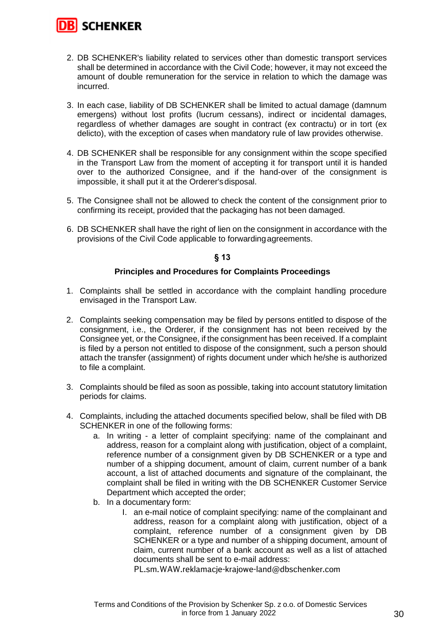

- 2. DB SCHENKER's liability related to services other than domestic transport services shall be determined in accordance with the Civil Code; however, it may not exceed the amount of double remuneration for the service in relation to which the damage was incurred.
- 3. In each case, liability of DB SCHENKER shall be limited to actual damage (damnum emergens) without lost profits (lucrum cessans), indirect or incidental damages, regardless of whether damages are sought in contract (ex contractu) or in tort (ex delicto), with the exception of cases when mandatory rule of law provides otherwise.
- 4. DB SCHENKER shall be responsible for any consignment within the scope specified in the Transport Law from the moment of accepting it for transport until it is handed over to the authorized Consignee, and if the hand-over of the consignment is impossible, it shall put it at the Orderer'sdisposal.
- 5. The Consignee shall not be allowed to check the content of the consignment prior to confirming its receipt, provided that the packaging has not been damaged.
- 6. DB SCHENKER shall have the right of lien on the consignment in accordance with the provisions of the Civil Code applicable to forwardingagreements.

## **§ 13**

# **Principles and Procedures for Complaints Proceedings**

- 1. Complaints shall be settled in accordance with the complaint handling procedure envisaged in the Transport Law.
- 2. Complaints seeking compensation may be filed by persons entitled to dispose of the consignment, i.e., the Orderer, if the consignment has not been received by the Consignee yet, or the Consignee, if the consignment has been received. If a complaint is filed by a person not entitled to dispose of the consignment, such a person should attach the transfer (assignment) of rights document under which he/she is authorized to file a complaint.
- 3. Complaints should be filed as soon as possible, taking into account statutory limitation periods for claims.
- 4. Complaints, including the attached documents specified below, shall be filed with DB SCHENKER in one of the following forms:
	- a. In writing a letter of complaint specifying: name of the complainant and address, reason for a complaint along with justification, object of a complaint, reference number of a consignment given by DB SCHENKER or a type and number of a shipping document, amount of claim, current number of a bank account, a list of attached documents and signature of the complainant, the complaint shall be filed in writing with the DB SCHENKER Customer Service Department which accepted the order;
	- b. In a documentary form:
		- I. an e-mail notice of complaint specifying: name of the complainant and address, reason for a complaint along with justification, object of a complaint, reference number of a consignment given by DB SCHENKER or a type and number of a shipping document, amount of claim, current number of a bank account as well as a list of attached documents shall be sent to e-mail address:

PL.sm.WAW.reklamacje-krajowe-land@dbschenker.com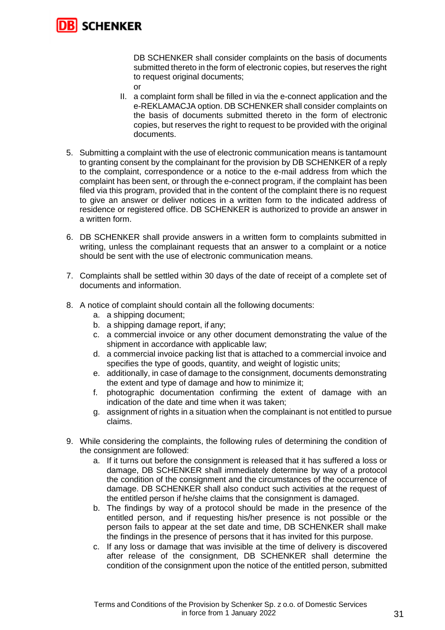

DB SCHENKER shall consider complaints on the basis of documents submitted thereto in the form of electronic copies, but reserves the right to request original documents;

- or
- II. a complaint form shall be filled in via the e-connect application and the e-REKLAMACJA option. DB SCHENKER shall consider complaints on the basis of documents submitted thereto in the form of electronic copies, but reserves the right to request to be provided with the original documents.
- 5. Submitting a complaint with the use of electronic communication means is tantamount to granting consent by the complainant for the provision by DB SCHENKER of a reply to the complaint, correspondence or a notice to the e-mail address from which the complaint has been sent, or through the e-connect program, if the complaint has been filed via this program, provided that in the content of the complaint there is no request to give an answer or deliver notices in a written form to the indicated address of residence or registered office. DB SCHENKER is authorized to provide an answer in a written form.
- 6. DB SCHENKER shall provide answers in a written form to complaints submitted in writing, unless the complainant requests that an answer to a complaint or a notice should be sent with the use of electronic communication means.
- 7. Complaints shall be settled within 30 days of the date of receipt of a complete set of documents and information.
- 8. A notice of complaint should contain all the following documents:
	- a. a shipping document;
	- b. a shipping damage report, if any;
	- c. a commercial invoice or any other document demonstrating the value of the shipment in accordance with applicable law;
	- d. a commercial invoice packing list that is attached to a commercial invoice and specifies the type of goods, quantity, and weight of logistic units;
	- e. additionally, in case of damage to the consignment, documents demonstrating the extent and type of damage and how to minimize it;
	- f. photographic documentation confirming the extent of damage with an indication of the date and time when it was taken;
	- g. assignment of rights in a situation when the complainant is not entitled to pursue claims.
- 9. While considering the complaints, the following rules of determining the condition of the consignment are followed:
	- a. If it turns out before the consignment is released that it has suffered a loss or damage, DB SCHENKER shall immediately determine by way of a protocol the condition of the consignment and the circumstances of the occurrence of damage. DB SCHENKER shall also conduct such activities at the request of the entitled person if he/she claims that the consignment is damaged.
	- b. The findings by way of a protocol should be made in the presence of the entitled person, and if requesting his/her presence is not possible or the person fails to appear at the set date and time, DB SCHENKER shall make the findings in the presence of persons that it has invited for this purpose.
	- c. If any loss or damage that was invisible at the time of delivery is discovered after release of the consignment, DB SCHENKER shall determine the condition of the consignment upon the notice of the entitled person, submitted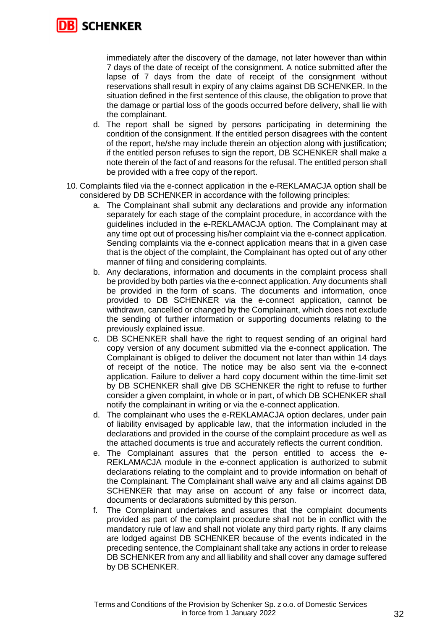

immediately after the discovery of the damage, not later however than within 7 days of the date of receipt of the consignment. A notice submitted after the lapse of 7 days from the date of receipt of the consignment without reservations shall result in expiry of any claims against DB SCHENKER. In the situation defined in the first sentence of this clause, the obligation to prove that the damage or partial loss of the goods occurred before delivery, shall lie with the complainant.

- d. The report shall be signed by persons participating in determining the condition of the consignment. If the entitled person disagrees with the content of the report, he/she may include therein an objection along with justification; if the entitled person refuses to sign the report, DB SCHENKER shall make a note therein of the fact of and reasons for the refusal. The entitled person shall be provided with a free copy of the report.
- 10. Complaints filed via the e-connect application in the e-REKLAMACJA option shall be considered by DB SCHENKER in accordance with the following principles:
	- a. The Complainant shall submit any declarations and provide any information separately for each stage of the complaint procedure, in accordance with the guidelines included in the e-REKLAMACJA option. The Complainant may at any time opt out of processing his/her complaint via the e-connect application. Sending complaints via the e-connect application means that in a given case that is the object of the complaint, the Complainant has opted out of any other manner of filing and considering complaints.
	- b. Any declarations, information and documents in the complaint process shall be provided by both parties via the e-connect application. Any documents shall be provided in the form of scans. The documents and information, once provided to DB SCHENKER via the e-connect application, cannot be withdrawn, cancelled or changed by the Complainant, which does not exclude the sending of further information or supporting documents relating to the previously explained issue.
	- c. DB SCHENKER shall have the right to request sending of an original hard copy version of any document submitted via the e-connect application. The Complainant is obliged to deliver the document not later than within 14 days of receipt of the notice. The notice may be also sent via the e-connect application. Failure to deliver a hard copy document within the time-limit set by DB SCHENKER shall give DB SCHENKER the right to refuse to further consider a given complaint, in whole or in part, of which DB SCHENKER shall notify the complainant in writing or via the e-connect application.
	- d. The complainant who uses the e-REKLAMACJA option declares, under pain of liability envisaged by applicable law, that the information included in the declarations and provided in the course of the complaint procedure as well as the attached documents is true and accurately reflects the current condition.
	- e. The Complainant assures that the person entitled to access the e-REKLAMACJA module in the e-connect application is authorized to submit declarations relating to the complaint and to provide information on behalf of the Complainant. The Complainant shall waive any and all claims against DB SCHENKER that may arise on account of any false or incorrect data, documents or declarations submitted by this person.
	- f. The Complainant undertakes and assures that the complaint documents provided as part of the complaint procedure shall not be in conflict with the mandatory rule of law and shall not violate any third party rights. If any claims are lodged against DB SCHENKER because of the events indicated in the preceding sentence, the Complainant shall take any actions in order to release DB SCHENKER from any and all liability and shall cover any damage suffered by DB SCHENKER.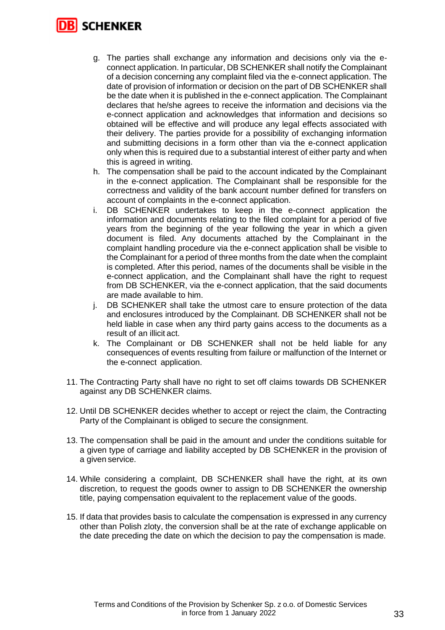# **SCHENKER**

- g. The parties shall exchange any information and decisions only via the econnect application. In particular, DB SCHENKER shall notify the Complainant of a decision concerning any complaint filed via the e-connect application. The date of provision of information or decision on the part of DB SCHENKER shall be the date when it is published in the e-connect application. The Complainant declares that he/she agrees to receive the information and decisions via the e-connect application and acknowledges that information and decisions so obtained will be effective and will produce any legal effects associated with their delivery. The parties provide for a possibility of exchanging information and submitting decisions in a form other than via the e-connect application only when this is required due to a substantial interest of either party and when this is agreed in writing.
- h. The compensation shall be paid to the account indicated by the Complainant in the e-connect application. The Complainant shall be responsible for the correctness and validity of the bank account number defined for transfers on account of complaints in the e-connect application.
- i. DB SCHENKER undertakes to keep in the e-connect application the information and documents relating to the filed complaint for a period of five years from the beginning of the year following the year in which a given document is filed. Any documents attached by the Complainant in the complaint handling procedure via the e-connect application shall be visible to the Complainant for a period of three months from the date when the complaint is completed. After this period, names of the documents shall be visible in the e-connect application, and the Complainant shall have the right to request from DB SCHENKER, via the e-connect application, that the said documents are made available to him.
- j. DB SCHENKER shall take the utmost care to ensure protection of the data and enclosures introduced by the Complainant. DB SCHENKER shall not be held liable in case when any third party gains access to the documents as a result of an illicit act.
- k. The Complainant or DB SCHENKER shall not be held liable for any consequences of events resulting from failure or malfunction of the Internet or the e-connect application.
- 11. The Contracting Party shall have no right to set off claims towards DB SCHENKER against any DB SCHENKER claims.
- 12. Until DB SCHENKER decides whether to accept or reject the claim, the Contracting Party of the Complainant is obliged to secure the consignment.
- 13. The compensation shall be paid in the amount and under the conditions suitable for a given type of carriage and liability accepted by DB SCHENKER in the provision of a given service.
- 14. While considering a complaint, DB SCHENKER shall have the right, at its own discretion, to request the goods owner to assign to DB SCHENKER the ownership title, paying compensation equivalent to the replacement value of the goods.
- 15. If data that provides basis to calculate the compensation is expressed in any currency other than Polish zloty, the conversion shall be at the rate of exchange applicable on the date preceding the date on which the decision to pay the compensation is made.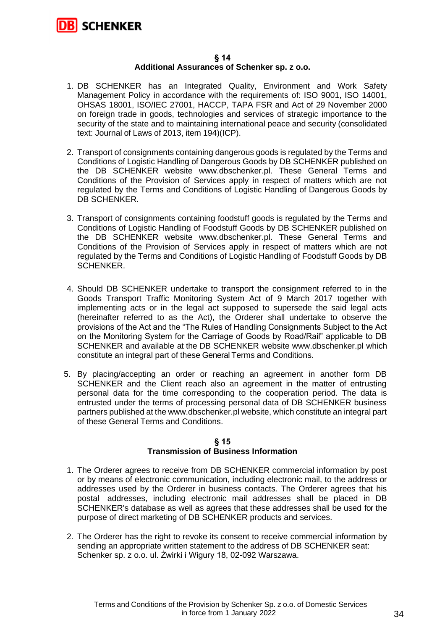

#### **§ 14 Additional Assurances of Schenker sp. z o.o.**

- 1. DB SCHENKER has an Integrated Quality, Environment and Work Safety Management Policy in accordance with the requirements of: ISO 9001, ISO 14001, OHSAS 18001, ISO/IEC 27001, HACCP, TAPA FSR and Act of 29 November 2000 on foreign trade in goods, technologies and services of strategic importance to the security of the state and to maintaining international peace and security (consolidated text: Journal of Laws of 2013, item 194)(ICP).
- 2. Transport of consignments containing dangerous goods is regulated by the Terms and Conditions of Logistic Handling of Dangerous Goods by DB SCHENKER published on the DB SCHENKER website www.dbschenker.pl. These General Terms and Conditions of the Provision of Services apply in respect of matters which are not regulated by the Terms and Conditions of Logistic Handling of Dangerous Goods by DB SCHENKER.
- 3. Transport of consignments containing foodstuff goods is regulated by the Terms and Conditions of Logistic Handling of Foodstuff Goods by DB SCHENKER published on the DB SCHENKER website www.dbschenker.pl. These General Terms and Conditions of the Provision of Services apply in respect of matters which are not regulated by the Terms and Conditions of Logistic Handling of Foodstuff Goods by DB SCHENKER.
- 4. Should DB SCHENKER undertake to transport the consignment referred to in the Goods Transport Traffic Monitoring System Act of 9 March 2017 together with implementing acts or in the legal act supposed to supersede the said legal acts (hereinafter referred to as the Act), the Orderer shall undertake to observe the provisions of the Act and the "The Rules of Handling Consignments Subject to the Act on the Monitoring System for the Carriage of Goods by Road/Rail" applicable to DB SCHENKER and available at the DB SCHENKER website www.dbschenker.pl which constitute an integral part of these General Terms and Conditions.
- 5. By placing/accepting an order or reaching an agreement in another form DB SCHENKER and the Client reach also an agreement in the matter of entrusting personal data for the time corresponding to the cooperation period. The data is entrusted under the terms of processing personal data of DB SCHENKER business partners published at the www.dbschenker.pl website, which constitute an integral part of these General Terms and Conditions.

#### **§ 15 Transmission of Business Information**

- 1. The Orderer agrees to receive from DB SCHENKER commercial information by post or by means of electronic communication, including electronic mail, to the address or addresses used by the Orderer in business contacts. The Orderer agrees that his postal addresses, including electronic mail addresses shall be placed in DB SCHENKER's database as well as agrees that these addresses shall be used for the purpose of direct marketing of DB SCHENKER products and services.
- 2. The Orderer has the right to revoke its consent to receive commercial information by sending an appropriate written statement to the address of DB SCHENKER seat: Schenker sp. z o.o. ul. Żwirki i Wigury 18, 02-092 Warszawa.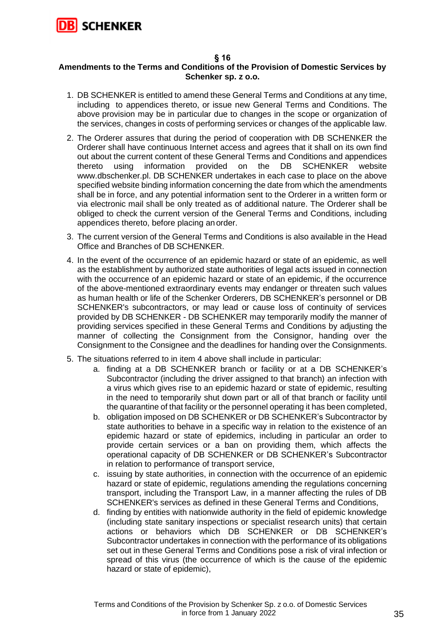

# **§ 16**

# **Amendments to the Terms and Conditions of the Provision of Domestic Services by Schenker sp. z o.o.**

- 1. DB SCHENKER is entitled to amend these General Terms and Conditions at any time, including to appendices thereto, or issue new General Terms and Conditions. The above provision may be in particular due to changes in the scope or organization of the services, changes in costs of performing services or changes of the applicable law.
- 2. The Orderer assures that during the period of cooperation with DB SCHENKER the Orderer shall have continuous Internet access and agrees that it shall on its own find out about the current content of these General Terms and Conditions and appendices thereto using information provided on the DB SCHENKER website www.dbschenker.pl. DB SCHENKER undertakes in each case to place on the above specified website binding information concerning the date from which the amendments shall be in force, and any potential information sent to the Orderer in a written form or via electronic mail shall be only treated as of additional nature. The Orderer shall be obliged to check the current version of the General Terms and Conditions, including appendices thereto, before placing anorder.
- 3. The current version of the General Terms and Conditions is also available in the Head Office and Branches of DB SCHENKER.
- 4. In the event of the occurrence of an epidemic hazard or state of an epidemic, as well as the establishment by authorized state authorities of legal acts issued in connection with the occurrence of an epidemic hazard or state of an epidemic, if the occurrence of the above-mentioned extraordinary events may endanger or threaten such values as human health or life of the Schenker Orderers, DB SCHENKER's personnel or DB SCHENKER's subcontractors, or may lead or cause loss of continuity of services provided by DB SCHENKER - DB SCHENKER may temporarily modify the manner of providing services specified in these General Terms and Conditions by adjusting the manner of collecting the Consignment from the Consignor, handing over the Consignment to the Consignee and the deadlines for handing over the Consignments.
- 5. The situations referred to in item 4 above shall include in particular:
	- a. finding at a DB SCHENKER branch or facility or at a DB SCHENKER's Subcontractor (including the driver assigned to that branch) an infection with a virus which gives rise to an epidemic hazard or state of epidemic, resulting in the need to temporarily shut down part or all of that branch or facility until the quarantine of that facility or the personnel operating it has been completed,
	- b. obligation imposed on DB SCHENKER or DB SCHENKER's Subcontractor by state authorities to behave in a specific way in relation to the existence of an epidemic hazard or state of epidemics, including in particular an order to provide certain services or a ban on providing them, which affects the operational capacity of DB SCHENKER or DB SCHENKER's Subcontractor in relation to performance of transport service,
	- c. issuing by state authorities, in connection with the occurrence of an epidemic hazard or state of epidemic, regulations amending the regulations concerning transport, including the Transport Law, in a manner affecting the rules of DB SCHENKER's services as defined in these General Terms and Conditions,
	- d. finding by entities with nationwide authority in the field of epidemic knowledge (including state sanitary inspections or specialist research units) that certain actions or behaviors which DB SCHENKER or DB SCHENKER's Subcontractor undertakes in connection with the performance of its obligations set out in these General Terms and Conditions pose a risk of viral infection or spread of this virus (the occurrence of which is the cause of the epidemic hazard or state of epidemic),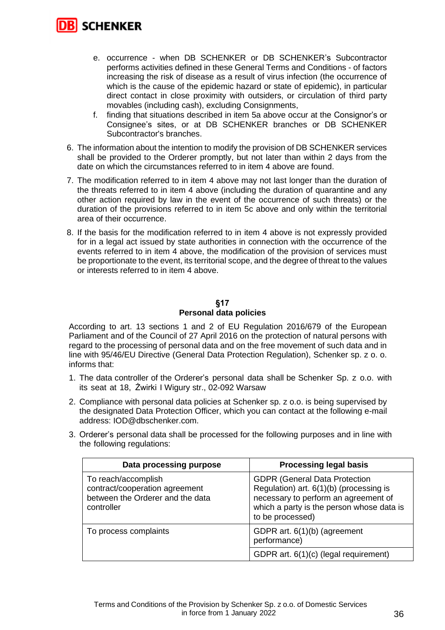

- e. occurrence when DB SCHENKER or DB SCHENKER's Subcontractor performs activities defined in these General Terms and Conditions - of factors increasing the risk of disease as a result of virus infection (the occurrence of which is the cause of the epidemic hazard or state of epidemic), in particular direct contact in close proximity with outsiders, or circulation of third party movables (including cash), excluding Consignments,
- f. finding that situations described in item 5a above occur at the Consignor's or Consignee's sites, or at DB SCHENKER branches or DB SCHENKER Subcontractor's branches.
- 6. The information about the intention to modify the provision of DB SCHENKER services shall be provided to the Orderer promptly, but not later than within 2 days from the date on which the circumstances referred to in item 4 above are found.
- 7. The modification referred to in item 4 above may not last longer than the duration of the threats referred to in item 4 above (including the duration of quarantine and any other action required by law in the event of the occurrence of such threats) or the duration of the provisions referred to in item 5c above and only within the territorial area of their occurrence.
- 8. If the basis for the modification referred to in item 4 above is not expressly provided for in a legal act issued by state authorities in connection with the occurrence of the events referred to in item 4 above, the modification of the provision of services must be proportionate to the event, its territorial scope, and the degree of threat to the values or interests referred to in item 4 above.

# **§17 Personal data policies**

According to art. 13 sections 1 and 2 of EU Regulation 2016/679 of the European Parliament and of the Council of 27 April 2016 on the protection of natural persons with regard to the processing of personal data and on the free movement of such data and in line with 95/46/EU Directive (General Data Protection Regulation), Schenker sp. z o. o. informs that:

- 1. The data controller of the Orderer's personal data shall be Schenker Sp. z o.o. with its seat at 18, Żwirki I Wigury str., 02-092 Warsaw
- 2. Compliance with personal data policies at Schenker sp. z o.o. is being supervised by the designated Data Protection Officer, which you can contact at the following e-mail address: IOD@dbschenker.com.
- 3. Orderer's personal data shall be processed for the following purposes and in line with the following regulations:

| Data processing purpose                                                                                 | <b>Processing legal basis</b>                                                                                                                                                            |
|---------------------------------------------------------------------------------------------------------|------------------------------------------------------------------------------------------------------------------------------------------------------------------------------------------|
| To reach/accomplish<br>contract/cooperation agreement<br>between the Orderer and the data<br>controller | <b>GDPR (General Data Protection</b><br>Regulation) art. 6(1)(b) (processing is<br>necessary to perform an agreement of<br>which a party is the person whose data is<br>to be processed) |
| To process complaints                                                                                   | GDPR art. 6(1)(b) (agreement<br>performance)                                                                                                                                             |
|                                                                                                         | GDPR art. 6(1)(c) (legal requirement)                                                                                                                                                    |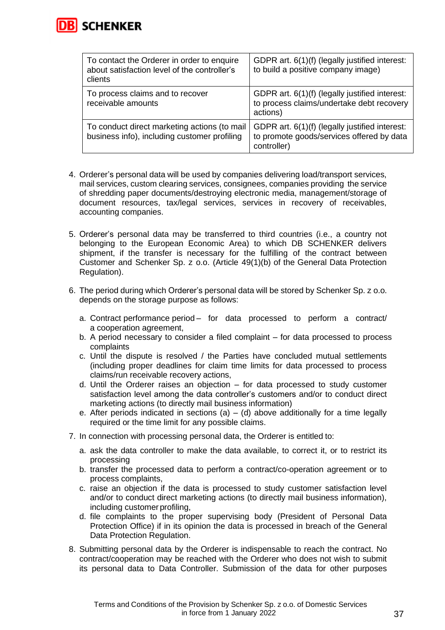

| To contact the Orderer in order to enquire<br>about satisfaction level of the controller's<br>clients | GDPR art. 6(1)(f) (legally justified interest:<br>to build a positive company image)                       |
|-------------------------------------------------------------------------------------------------------|------------------------------------------------------------------------------------------------------------|
| To process claims and to recover<br>receivable amounts                                                | GDPR art. 6(1)(f) (legally justified interest:<br>to process claims/undertake debt recovery<br>actions)    |
| To conduct direct marketing actions (to mail<br>business info), including customer profiling          | GDPR art. 6(1)(f) (legally justified interest:<br>to promote goods/services offered by data<br>controller) |

- 4. Orderer's personal data will be used by companies delivering load/transport services, mail services, custom clearing services, consignees, companies providing the service of shredding paper documents/destroying electronic media, management/storage of document resources, tax/legal services, services in recovery of receivables, accounting companies.
- 5. Orderer's personal data may be transferred to third countries (i.e., a country not belonging to the European Economic Area) to which DB SCHENKER delivers shipment, if the transfer is necessary for the fulfilling of the contract between Customer and Schenker Sp. z o.o. (Article 49(1)(b) of the General Data Protection Regulation).
- 6. The period during which Orderer's personal data will be stored by Schenker Sp. z o.o. depends on the storage purpose as follows:
	- a. Contract performance period for data processed to perform a contract/ a cooperation agreement,
	- b. A period necessary to consider a filed complaint for data processed to process complaints
	- c. Until the dispute is resolved / the Parties have concluded mutual settlements (including proper deadlines for claim time limits for data processed to process claims/run receivable recovery actions,
	- d. Until the Orderer raises an objection for data processed to study customer satisfaction level among the data controller's customers and/or to conduct direct marketing actions (to directly mail business information)
	- e. After periods indicated in sections (a)  $-$  (d) above additionally for a time legally required or the time limit for any possible claims.
- 7. In connection with processing personal data, the Orderer is entitled to:
	- a. ask the data controller to make the data available, to correct it, or to restrict its processing
	- b. transfer the processed data to perform a contract/co-operation agreement or to process complaints,
	- c. raise an objection if the data is processed to study customer satisfaction level and/or to conduct direct marketing actions (to directly mail business information), including customer profiling,
	- d. file complaints to the proper supervising body (President of Personal Data Protection Office) if in its opinion the data is processed in breach of the General Data Protection Regulation.
- 8. Submitting personal data by the Orderer is indispensable to reach the contract. No contract/cooperation may be reached with the Orderer who does not wish to submit its personal data to Data Controller. Submission of the data for other purposes